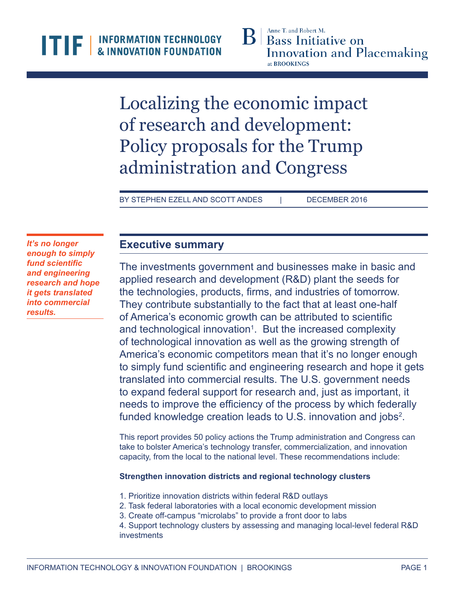Localizing the economic impact of research and development: Policy proposals for the Trump administration and Congress

BY STEPHEN EZELL AND SCOTT ANDES | DECEMBER 2016

*It's no longer enough to simply fund scientific and engineering research and hope it gets translated into commercial results.*

# **Executive summary**

The investments government and businesses make in basic and applied research and development (R&D) plant the seeds for the technologies, products, firms, and industries of tomorrow. They contribute substantially to the fact that at least one-half of America's economic growth can be attributed to scientific and technological innovation<sup>1</sup>. But the increased complexity of technological innovation as well as the growing strength of America's economic competitors mean that it's no longer enough to simply fund scientific and engineering research and hope it gets translated into commercial results. The U.S. government needs to expand federal support for research and, just as important, it needs to improve the efficiency of the process by which federally funded knowledge creation leads to U.S. innovation and jobs<sup>2</sup>.

This report provides 50 policy actions the Trump administration and Congress can take to bolster America's technology transfer, commercialization, and innovation capacity, from the local to the national level. These recommendations include:

# **Strengthen innovation districts and regional technology clusters**

- 1. Prioritize innovation districts within federal R&D outlays
- 2. Task federal laboratories with a local economic development mission
- 3. Create off-campus "microlabs" to provide a front door to labs

4. Support technology clusters by assessing and managing local-level federal R&D investments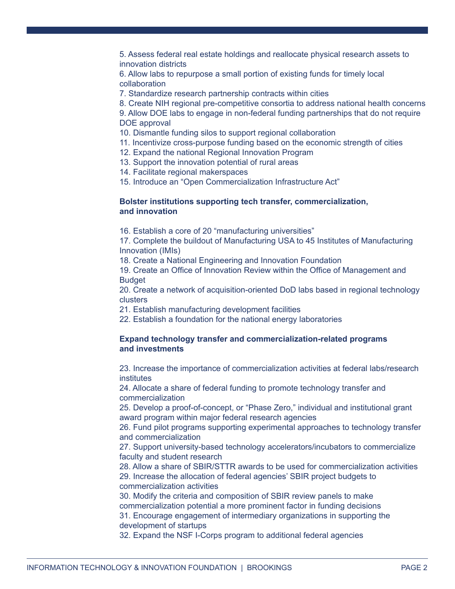5. Assess federal real estate holdings and reallocate physical research assets to innovation districts

6. Allow labs to repurpose a small portion of existing funds for timely local collaboration

7. Standardize research partnership contracts within cities

8. Create NIH regional pre-competitive consortia to address national health concerns

9. Allow DOE labs to engage in non-federal funding partnerships that do not require DOE approval

- 10. Dismantle funding silos to support regional collaboration
- 11. Incentivize cross-purpose funding based on the economic strength of cities
- 12. Expand the national Regional Innovation Program
- 13. Support the innovation potential of rural areas
- 14. Facilitate regional makerspaces
- 15. Introduce an "Open Commercialization Infrastructure Act"

#### **Bolster institutions supporting tech transfer, commercialization, and innovation**

16. Establish a core of 20 "manufacturing universities"

17. Complete the buildout of Manufacturing USA to 45 Institutes of Manufacturing Innovation (IMIs)

18. Create a National Engineering and Innovation Foundation

19. Create an Office of Innovation Review within the Office of Management and **Budget** 

20. Create a network of acquisition-oriented DoD labs based in regional technology clusters

- 21. Establish manufacturing development facilities
- 22. Establish a foundation for the national energy laboratories

#### **Expand technology transfer and commercialization-related programs and investments**

23. Increase the importance of commercialization activities at federal labs/research institutes

24. Allocate a share of federal funding to promote technology transfer and commercialization

25. Develop a proof-of-concept, or "Phase Zero," individual and institutional grant award program within major federal research agencies

26. Fund pilot programs supporting experimental approaches to technology transfer and commercialization

27. Support university-based technology accelerators/incubators to commercialize faculty and student research

28. Allow a share of SBIR/STTR awards to be used for commercialization activities 29. Increase the allocation of federal agencies' SBIR project budgets to commercialization activities

30. Modify the criteria and composition of SBIR review panels to make commercialization potential a more prominent factor in funding decisions 31. Encourage engagement of intermediary organizations in supporting the development of startups

32. Expand the NSF I-Corps program to additional federal agencies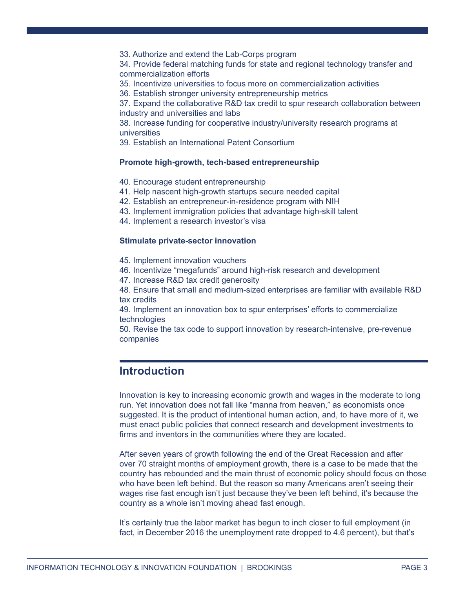33. Authorize and extend the Lab-Corps program

34. Provide federal matching funds for state and regional technology transfer and commercialization efforts

35. Incentivize universities to focus more on commercialization activities

36. Establish stronger university entrepreneurship metrics

37. Expand the collaborative R&D tax credit to spur research collaboration between industry and universities and labs

38. Increase funding for cooperative industry/university research programs at universities

39. Establish an International Patent Consortium

#### **Promote high-growth, tech-based entrepreneurship**

- 40. Encourage student entrepreneurship
- 41. Help nascent high-growth startups secure needed capital
- 42. Establish an entrepreneur-in-residence program with NIH
- 43. Implement immigration policies that advantage high-skill talent
- 44. Implement a research investor's visa

#### **Stimulate private-sector innovation**

- 45. Implement innovation vouchers
- 46. Incentivize "megafunds" around high-risk research and development
- 47. Increase R&D tax credit generosity
- 48. Ensure that small and medium-sized enterprises are familiar with available R&D tax credits

49. Implement an innovation box to spur enterprises' efforts to commercialize technologies

50. Revise the tax code to support innovation by research-intensive, pre-revenue companies

# **Introduction**

Innovation is key to increasing economic growth and wages in the moderate to long run. Yet innovation does not fall like "manna from heaven," as economists once suggested. It is the product of intentional human action, and, to have more of it, we must enact public policies that connect research and development investments to firms and inventors in the communities where they are located.

After seven years of growth following the end of the Great Recession and after over 70 straight months of employment growth, there is a case to be made that the country has rebounded and the main thrust of economic policy should focus on those who have been left behind. But the reason so many Americans aren't seeing their wages rise fast enough isn't just because they've been left behind, it's because the country as a whole isn't moving ahead fast enough.

It's certainly true the labor market has begun to inch closer to full employment (in fact, in December 2016 the unemployment rate dropped to 4.6 percent), but that's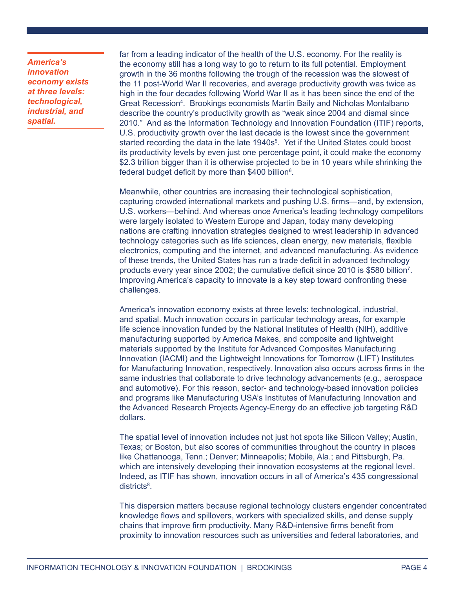*America's innovation economy exists at three levels: technological, industrial, and spatial.*

far from a leading indicator of the health of the U.S. economy. For the reality is the economy still has a long way to go to return to its full potential. Employment growth in the 36 months following the trough of the recession was the slowest of the 11 post-World War II recoveries, and average productivity growth was twice as high in the four decades following World War II as it has been since the end of the Great Recession<sup>4</sup>. Brookings economists Martin Baily and Nicholas Montalbano describe the country's productivity growth as "weak since 2004 and dismal since 2010." And as the Information Technology and Innovation Foundation (ITIF) reports, U.S. productivity growth over the last decade is the lowest since the government started recording the data in the late 1940s<sup>5</sup>. Yet if the United States could boost its productivity levels by even just one percentage point, it could make the economy \$2.3 trillion bigger than it is otherwise projected to be in 10 years while shrinking the federal budget deficit by more than \$400 billion<sup>6</sup>.

Meanwhile, other countries are increasing their technological sophistication, capturing crowded international markets and pushing U.S. firms—and, by extension, U.S. workers—behind. And whereas once America's leading technology competitors were largely isolated to Western Europe and Japan, today many developing nations are crafting innovation strategies designed to wrest leadership in advanced technology categories such as life sciences, clean energy, new materials, flexible electronics, computing and the internet, and advanced manufacturing. As evidence of these trends, the United States has run a trade deficit in advanced technology products every year since 2002; the cumulative deficit since 2010 is \$580 billion<sup>7</sup> . Improving America's capacity to innovate is a key step toward confronting these challenges.

America's innovation economy exists at three levels: technological, industrial, and spatial. Much innovation occurs in particular technology areas, for example life science innovation funded by the National Institutes of Health (NIH), additive manufacturing supported by America Makes, and composite and lightweight materials supported by the Institute for Advanced Composites Manufacturing Innovation (IACMI) and the Lightweight Innovations for Tomorrow (LIFT) Institutes for Manufacturing Innovation, respectively. Innovation also occurs across firms in the same industries that collaborate to drive technology advancements (e.g., aerospace and automotive). For this reason, sector- and technology-based innovation policies and programs like Manufacturing USA's Institutes of Manufacturing Innovation and the Advanced Research Projects Agency-Energy do an effective job targeting R&D dollars.

The spatial level of innovation includes not just hot spots like Silicon Valley; Austin, Texas; or Boston, but also scores of communities throughout the country in places like Chattanooga, Tenn.; Denver; Minneapolis; Mobile, Ala.; and Pittsburgh, Pa. which are intensively developing their innovation ecosystems at the regional level. Indeed, as ITIF has shown, innovation occurs in all of America's 435 congressional districts<sup>8</sup>.

This dispersion matters because regional technology clusters engender concentrated knowledge flows and spillovers, workers with specialized skills, and dense supply chains that improve firm productivity. Many R&D-intensive firms benefit from proximity to innovation resources such as universities and federal laboratories, and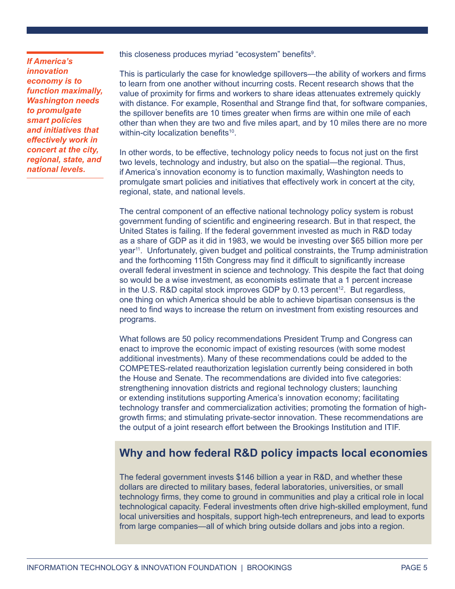*If America's innovation economy is to function maximally, Washington needs to promulgate smart policies and initiatives that effectively work in concert at the city, regional, state, and national levels.*

this closeness produces myriad "ecosystem" benefits<sup>9</sup>.

This is particularly the case for knowledge spillovers—the ability of workers and firms to learn from one another without incurring costs. Recent research shows that the value of proximity for firms and workers to share ideas attenuates extremely quickly with distance. For example, Rosenthal and Strange find that, for software companies, the spillover benefits are 10 times greater when firms are within one mile of each other than when they are two and five miles apart, and by 10 miles there are no more within-city localization benefits<sup>10</sup>.

In other words, to be effective, technology policy needs to focus not just on the first two levels, technology and industry, but also on the spatial—the regional. Thus, if America's innovation economy is to function maximally, Washington needs to promulgate smart policies and initiatives that effectively work in concert at the city, regional, state, and national levels.

The central component of an effective national technology policy system is robust government funding of scientific and engineering research. But in that respect, the United States is failing. If the federal government invested as much in R&D today as a share of GDP as it did in 1983, we would be investing over \$65 billion more per year11. Unfortunately, given budget and political constraints, the Trump administration and the forthcoming 115th Congress may find it difficult to significantly increase overall federal investment in science and technology. This despite the fact that doing so would be a wise investment, as economists estimate that a 1 percent increase in the U.S. R&D capital stock improves GDP by  $0.13$  percent<sup>12</sup>. But regardless, one thing on which America should be able to achieve bipartisan consensus is the need to find ways to increase the return on investment from existing resources and programs.

What follows are 50 policy recommendations President Trump and Congress can enact to improve the economic impact of existing resources (with some modest additional investments). Many of these recommendations could be added to the COMPETES-related reauthorization legislation currently being considered in both the House and Senate. The recommendations are divided into five categories: strengthening innovation districts and regional technology clusters; launching or extending institutions supporting America's innovation economy; facilitating technology transfer and commercialization activities; promoting the formation of highgrowth firms; and stimulating private-sector innovation. These recommendations are the output of a joint research effort between the Brookings Institution and ITIF.

# **Why and how federal R&D policy impacts local economies**

The federal government invests \$146 billion a year in R&D, and whether these dollars are directed to military bases, federal laboratories, universities, or small technology firms, they come to ground in communities and play a critical role in local technological capacity. Federal investments often drive high-skilled employment, fund local universities and hospitals, support high-tech entrepreneurs, and lead to exports from large companies—all of which bring outside dollars and jobs into a region.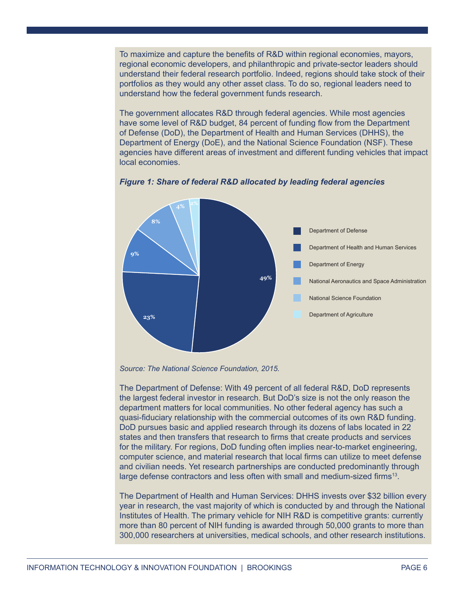To maximize and capture the benefits of R&D within regional economies, mayors, regional economic developers, and philanthropic and private-sector leaders should understand their federal research portfolio. Indeed, regions should take stock of their portfolios as they would any other asset class. To do so, regional leaders need to understand how the federal government funds research.

The government allocates R&D through federal agencies. While most agencies have some level of R&D budget, 84 percent of funding flow from the Department of Defense (DoD), the Department of Health and Human Services (DHHS), the Department of Energy (DoE), and the National Science Foundation (NSF). These agencies have different areas of investment and different funding vehicles that impact local economies.



## *Figure 1: Share of federal R&D allocated by leading federal agencies*

The Department of Defense: With 49 percent of all federal R&D, DoD represents the largest federal investor in research. But DoD's size is not the only reason the department matters for local communities. No other federal agency has such a quasi-fiduciary relationship with the commercial outcomes of its own R&D funding. DoD pursues basic and applied research through its dozens of labs located in 22 states and then transfers that research to firms that create products and services for the military. For regions, DoD funding often implies near-to-market engineering, computer science, and material research that local firms can utilize to meet defense and civilian needs. Yet research partnerships are conducted predominantly through large defense contractors and less often with small and medium-sized firms<sup>13</sup>.

The Department of Health and Human Services: DHHS invests over \$32 billion every year in research, the vast majority of which is conducted by and through the National Institutes of Health. The primary vehicle for NIH R&D is competitive grants: currently more than 80 percent of NIH funding is awarded through 50,000 grants to more than 300,000 researchers at universities, medical schools, and other research institutions.

*Source: The National Science Foundation, 2015.*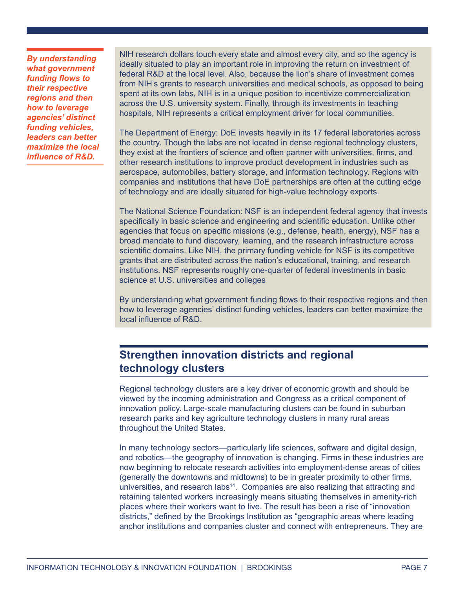*By understanding what government funding flows to their respective regions and then how to leverage agencies' distinct funding vehicles, leaders can better maximize the local influence of R&D.*

NIH research dollars touch every state and almost every city, and so the agency is ideally situated to play an important role in improving the return on investment of federal R&D at the local level. Also, because the lion's share of investment comes from NIH's grants to research universities and medical schools, as opposed to being spent at its own labs, NIH is in a unique position to incentivize commercialization across the U.S. university system. Finally, through its investments in teaching hospitals, NIH represents a critical employment driver for local communities.

The Department of Energy: DoE invests heavily in its 17 federal laboratories across the country. Though the labs are not located in dense regional technology clusters, they exist at the frontiers of science and often partner with universities, firms, and other research institutions to improve product development in industries such as aerospace, automobiles, battery storage, and information technology. Regions with companies and institutions that have DoE partnerships are often at the cutting edge of technology and are ideally situated for high-value technology exports.

The National Science Foundation: NSF is an independent federal agency that invests specifically in basic science and engineering and scientific education. Unlike other agencies that focus on specific missions (e.g., defense, health, energy), NSF has a broad mandate to fund discovery, learning, and the research infrastructure across scientific domains. Like NIH, the primary funding vehicle for NSF is its competitive grants that are distributed across the nation's educational, training, and research institutions. NSF represents roughly one-quarter of federal investments in basic science at U.S. universities and colleges

By understanding what government funding flows to their respective regions and then how to leverage agencies' distinct funding vehicles, leaders can better maximize the local influence of R&D.

# **Strengthen innovation districts and regional technology clusters**

Regional technology clusters are a key driver of economic growth and should be viewed by the incoming administration and Congress as a critical component of innovation policy. Large-scale manufacturing clusters can be found in suburban research parks and key agriculture technology clusters in many rural areas throughout the United States.

In many technology sectors—particularly life sciences, software and digital design, and robotics—the geography of innovation is changing. Firms in these industries are now beginning to relocate research activities into employment-dense areas of cities (generally the downtowns and midtowns) to be in greater proximity to other firms, universities, and research labs $14$ . Companies are also realizing that attracting and retaining talented workers increasingly means situating themselves in amenity-rich places where their workers want to live. The result has been a rise of "innovation districts," defined by the Brookings Institution as "geographic areas where leading anchor institutions and companies cluster and connect with entrepreneurs. They are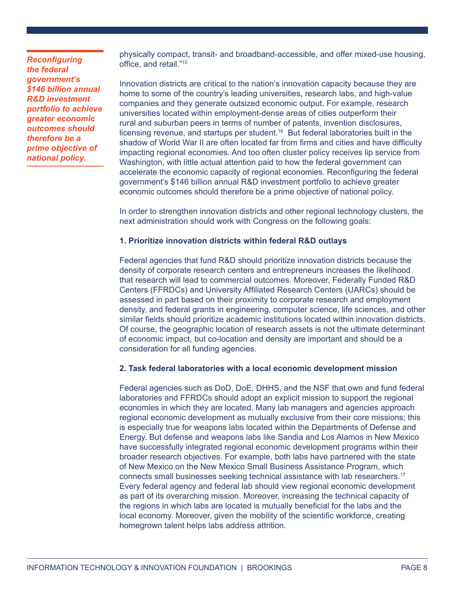*Reconfiguring the federal government's \$146 billion annual R&D investment portfolio to achieve greater economic outcomes should therefore be a prime objective of national policy.*

physically compact, transit- and broadband-accessible, and offer mixed-use housing, office, and retail."<sup>15</sup>

Innovation districts are critical to the nation's innovation capacity because they are home to some of the country's leading universities, research labs, and high-value companies and they generate outsized economic output. For example, research universities located within employment-dense areas of cities outperform their rural and suburban peers in terms of number of patents, invention disclosures, licensing revenue, and startups per student.<sup>16</sup> But federal laboratories built in the shadow of World War II are often located far from firms and cities and have difficulty impacting regional economies. And too often cluster policy receives lip service from Washington, with little actual attention paid to how the federal government can accelerate the economic capacity of regional economies. Reconfiguring the federal government's \$146 billion annual R&D investment portfolio to achieve greater economic outcomes should therefore be a prime objective of national policy.

In order to strengthen innovation districts and other regional technology clusters, the next administration should work with Congress on the following goals:

## **1. Prioritize innovation districts within federal R&D outlays**

Federal agencies that fund R&D should prioritize innovation districts because the density of corporate research centers and entrepreneurs increases the likelihood that research will lead to commercial outcomes. Moreover, Federally Funded R&D Centers (FFRDCs) and University Affiliated Research Centers (UARCs) should be assessed in part based on their proximity to corporate research and employment density, and federal grants in engineering, computer science, life sciences, and other similar fields should prioritize academic institutions located within innovation districts. Of course, the geographic location of research assets is not the ultimate determinant of economic impact, but co-location and density are important and should be a consideration for all funding agencies.

#### **2. Task federal laboratories with a local economic development mission**

Federal agencies such as DoD, DoE, DHHS, and the NSF that own and fund federal laboratories and FFRDCs should adopt an explicit mission to support the regional economies in which they are located. Many lab managers and agencies approach regional economic development as mutually exclusive from their core missions; this is especially true for weapons labs located within the Departments of Defense and Energy. But defense and weapons labs like Sandia and Los Alamos in New Mexico have successfully integrated regional economic development programs within their broader research objectives. For example, both labs have partnered with the state of New Mexico on the New Mexico Small Business Assistance Program, which connects small businesses seeking technical assistance with lab researchers.17 Every federal agency and federal lab should view regional economic development as part of its overarching mission. Moreover, increasing the technical capacity of the regions in which labs are located is mutually beneficial for the labs and the local economy. Moreover, given the mobility of the scientific workforce, creating homegrown talent helps labs address attrition.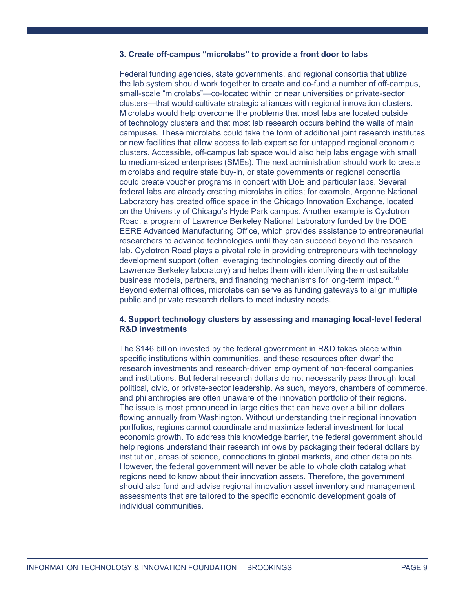# **3. Create off-campus "microlabs" to provide a front door to labs**

Federal funding agencies, state governments, and regional consortia that utilize the lab system should work together to create and co-fund a number of off-campus, small-scale "microlabs"—co-located within or near universities or private-sector clusters—that would cultivate strategic alliances with regional innovation clusters. Microlabs would help overcome the problems that most labs are located outside of technology clusters and that most lab research occurs behind the walls of main campuses. These microlabs could take the form of additional joint research institutes or new facilities that allow access to lab expertise for untapped regional economic clusters. Accessible, off-campus lab space would also help labs engage with small to medium-sized enterprises (SMEs). The next administration should work to create microlabs and require state buy-in, or state governments or regional consortia could create voucher programs in concert with DoE and particular labs. Several federal labs are already creating microlabs in cities; for example, Argonne National Laboratory has created office space in the Chicago Innovation Exchange, located on the University of Chicago's Hyde Park campus. Another example is Cyclotron Road, a program of Lawrence Berkeley National Laboratory funded by the DOE EERE Advanced Manufacturing Office, which provides assistance to entrepreneurial researchers to advance technologies until they can succeed beyond the research lab. Cyclotron Road plays a pivotal role in providing entrepreneurs with technology development support (often leveraging technologies coming directly out of the Lawrence Berkeley laboratory) and helps them with identifying the most suitable business models, partners, and financing mechanisms for long-term impact.18 Beyond external offices, microlabs can serve as funding gateways to align multiple public and private research dollars to meet industry needs.

### **4. Support technology clusters by assessing and managing local-level federal R&D investments**

The \$146 billion invested by the federal government in R&D takes place within specific institutions within communities, and these resources often dwarf the research investments and research-driven employment of non-federal companies and institutions. But federal research dollars do not necessarily pass through local political, civic, or private-sector leadership. As such, mayors, chambers of commerce, and philanthropies are often unaware of the innovation portfolio of their regions. The issue is most pronounced in large cities that can have over a billion dollars flowing annually from Washington. Without understanding their regional innovation portfolios, regions cannot coordinate and maximize federal investment for local economic growth. To address this knowledge barrier, the federal government should help regions understand their research inflows by packaging their federal dollars by institution, areas of science, connections to global markets, and other data points. However, the federal government will never be able to whole cloth catalog what regions need to know about their innovation assets. Therefore, the government should also fund and advise regional innovation asset inventory and management assessments that are tailored to the specific economic development goals of individual communities.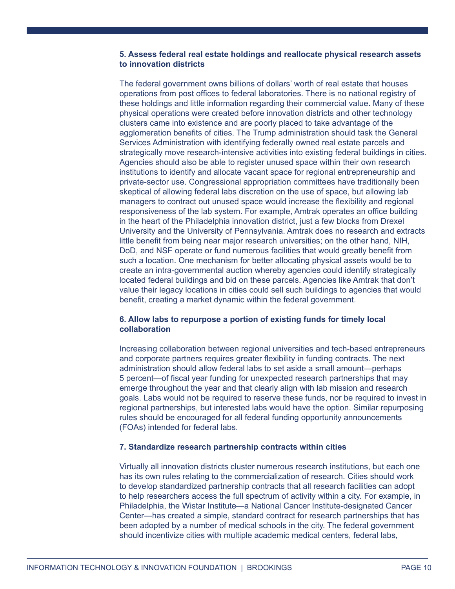# **5. Assess federal real estate holdings and reallocate physical research assets to innovation districts**

The federal government owns billions of dollars' worth of real estate that houses operations from post offices to federal laboratories. There is no national registry of these holdings and little information regarding their commercial value. Many of these physical operations were created before innovation districts and other technology clusters came into existence and are poorly placed to take advantage of the agglomeration benefits of cities. The Trump administration should task the General Services Administration with identifying federally owned real estate parcels and strategically move research-intensive activities into existing federal buildings in cities. Agencies should also be able to register unused space within their own research institutions to identify and allocate vacant space for regional entrepreneurship and private-sector use. Congressional appropriation committees have traditionally been skeptical of allowing federal labs discretion on the use of space, but allowing lab managers to contract out unused space would increase the flexibility and regional responsiveness of the lab system. For example, Amtrak operates an office building in the heart of the Philadelphia innovation district, just a few blocks from Drexel University and the University of Pennsylvania. Amtrak does no research and extracts little benefit from being near major research universities; on the other hand, NIH, DoD, and NSF operate or fund numerous facilities that would greatly benefit from such a location. One mechanism for better allocating physical assets would be to create an intra-governmental auction whereby agencies could identify strategically located federal buildings and bid on these parcels. Agencies like Amtrak that don't value their legacy locations in cities could sell such buildings to agencies that would benefit, creating a market dynamic within the federal government.

# **6. Allow labs to repurpose a portion of existing funds for timely local collaboration**

Increasing collaboration between regional universities and tech-based entrepreneurs and corporate partners requires greater flexibility in funding contracts. The next administration should allow federal labs to set aside a small amount—perhaps 5 percent—of fiscal year funding for unexpected research partnerships that may emerge throughout the year and that clearly align with lab mission and research goals. Labs would not be required to reserve these funds, nor be required to invest in regional partnerships, but interested labs would have the option. Similar repurposing rules should be encouraged for all federal funding opportunity announcements (FOAs) intended for federal labs.

#### **7. Standardize research partnership contracts within cities**

Virtually all innovation districts cluster numerous research institutions, but each one has its own rules relating to the commercialization of research. Cities should work to develop standardized partnership contracts that all research facilities can adopt to help researchers access the full spectrum of activity within a city. For example, in Philadelphia, the Wistar Institute—a National Cancer Institute-designated Cancer Center—has created a simple, standard contract for research partnerships that has been adopted by a number of medical schools in the city. The federal government should incentivize cities with multiple academic medical centers, federal labs,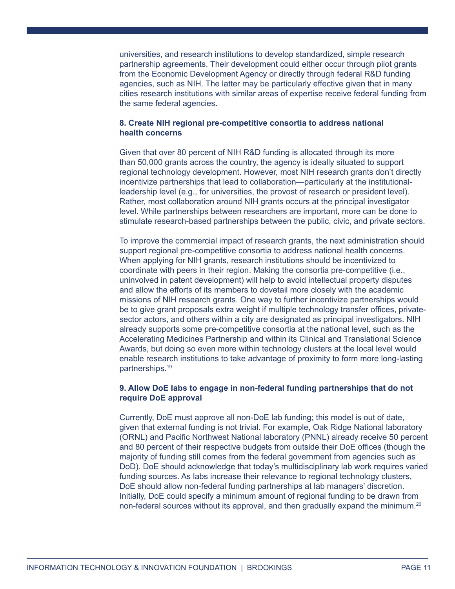universities, and research institutions to develop standardized, simple research partnership agreements. Their development could either occur through pilot grants from the Economic Development Agency or directly through federal R&D funding agencies, such as NIH. The latter may be particularly effective given that in many cities research institutions with similar areas of expertise receive federal funding from the same federal agencies.

### **8. Create NIH regional pre-competitive consortia to address national health concerns**

Given that over 80 percent of NIH R&D funding is allocated through its more than 50,000 grants across the country, the agency is ideally situated to support regional technology development. However, most NIH research grants don't directly incentivize partnerships that lead to collaboration—particularly at the institutionalleadership level (e.g., for universities, the provost of research or president level). Rather, most collaboration around NIH grants occurs at the principal investigator level. While partnerships between researchers are important, more can be done to stimulate research-based partnerships between the public, civic, and private sectors.

To improve the commercial impact of research grants, the next administration should support regional pre-competitive consortia to address national health concerns. When applying for NIH grants, research institutions should be incentivized to coordinate with peers in their region. Making the consortia pre-competitive (i.e., uninvolved in patent development) will help to avoid intellectual property disputes and allow the efforts of its members to dovetail more closely with the academic missions of NIH research grants. One way to further incentivize partnerships would be to give grant proposals extra weight if multiple technology transfer offices, privatesector actors, and others within a city are designated as principal investigators. NIH already supports some pre-competitive consortia at the national level, such as the Accelerating Medicines Partnership and within its Clinical and Translational Science Awards, but doing so even more within technology clusters at the local level would enable research institutions to take advantage of proximity to form more long-lasting partnerships.<sup>19</sup>

### **9. Allow DoE labs to engage in non-federal funding partnerships that do not require DoE approval**

Currently, DoE must approve all non-DoE lab funding; this model is out of date, given that external funding is not trivial. For example, Oak Ridge National laboratory (ORNL) and Pacific Northwest National laboratory (PNNL) already receive 50 percent and 80 percent of their respective budgets from outside their DoE offices (though the majority of funding still comes from the federal government from agencies such as DoD). DoE should acknowledge that today's multidisciplinary lab work requires varied funding sources. As labs increase their relevance to regional technology clusters, DoE should allow non-federal funding partnerships at lab managers' discretion. Initially, DoE could specify a minimum amount of regional funding to be drawn from non-federal sources without its approval, and then gradually expand the minimum.<sup>20</sup>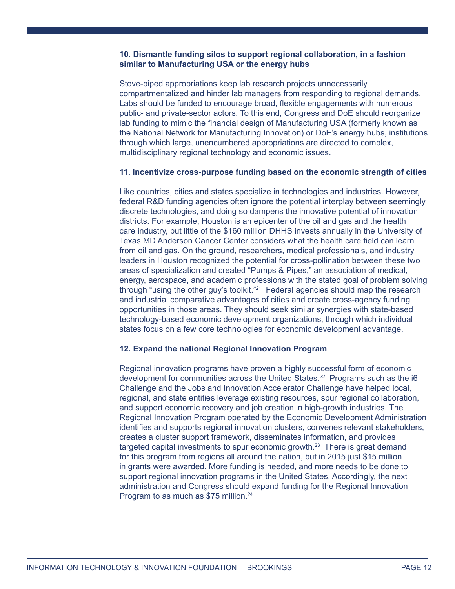# **10. Dismantle funding silos to support regional collaboration, in a fashion similar to Manufacturing USA or the energy hubs**

Stove-piped appropriations keep lab research projects unnecessarily compartmentalized and hinder lab managers from responding to regional demands. Labs should be funded to encourage broad, flexible engagements with numerous public- and private-sector actors. To this end, Congress and DoE should reorganize lab funding to mimic the financial design of Manufacturing USA (formerly known as the National Network for Manufacturing Innovation) or DoE's energy hubs, institutions through which large, unencumbered appropriations are directed to complex, multidisciplinary regional technology and economic issues.

#### **11. Incentivize cross-purpose funding based on the economic strength of cities**

Like countries, cities and states specialize in technologies and industries. However, federal R&D funding agencies often ignore the potential interplay between seemingly discrete technologies, and doing so dampens the innovative potential of innovation districts. For example, Houston is an epicenter of the oil and gas and the health care industry, but little of the \$160 million DHHS invests annually in the University of Texas MD Anderson Cancer Center considers what the health care field can learn from oil and gas. On the ground, researchers, medical professionals, and industry leaders in Houston recognized the potential for cross-pollination between these two areas of specialization and created "Pumps & Pipes," an association of medical, energy, aerospace, and academic professions with the stated goal of problem solving through "using the other guy's toolkit."<sup>21</sup> Federal agencies should map the research and industrial comparative advantages of cities and create cross-agency funding opportunities in those areas. They should seek similar synergies with state-based technology-based economic development organizations, through which individual states focus on a few core technologies for economic development advantage.

# **12. Expand the national Regional Innovation Program**

Regional innovation programs have proven a highly successful form of economic development for communities across the United States.<sup>22</sup> Programs such as the i6 Challenge and the Jobs and Innovation Accelerator Challenge have helped local, regional, and state entities leverage existing resources, spur regional collaboration, and support economic recovery and job creation in high-growth industries. The Regional Innovation Program operated by the Economic Development Administration identifies and supports regional innovation clusters, convenes relevant stakeholders, creates a cluster support framework, disseminates information, and provides targeted capital investments to spur economic growth. $^{23}$  There is great demand for this program from regions all around the nation, but in 2015 just \$15 million in grants were awarded. More funding is needed, and more needs to be done to support regional innovation programs in the United States. Accordingly, the next administration and Congress should expand funding for the Regional Innovation Program to as much as \$75 million.<sup>24</sup>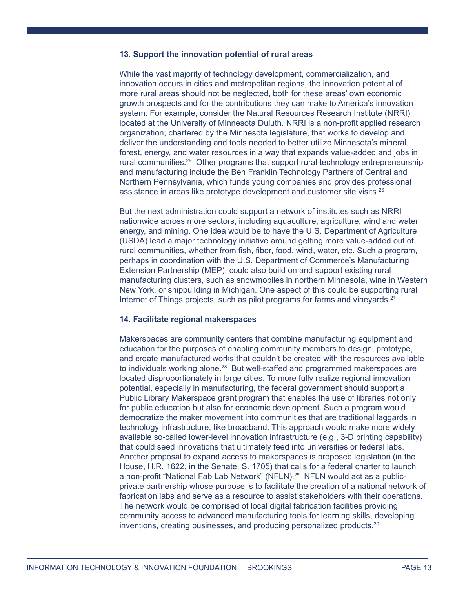#### **13. Support the innovation potential of rural areas**

While the vast majority of technology development, commercialization, and innovation occurs in cities and metropolitan regions, the innovation potential of more rural areas should not be neglected, both for these areas' own economic growth prospects and for the contributions they can make to America's innovation system. For example, consider the Natural Resources Research Institute (NRRI) located at the University of Minnesota Duluth. NRRI is a non-profit applied research organization, chartered by the Minnesota legislature, that works to develop and deliver the understanding and tools needed to better utilize Minnesota's mineral, forest, energy, and water resources in a way that expands value-added and jobs in rural communities.<sup>25</sup> Other programs that support rural technology entrepreneurship and manufacturing include the Ben Franklin Technology Partners of Central and Northern Pennsylvania, which funds young companies and provides professional assistance in areas like prototype development and customer site visits.<sup>26</sup>

But the next administration could support a network of institutes such as NRRI nationwide across more sectors, including aquaculture, agriculture, wind and water energy, and mining. One idea would be to have the U.S. Department of Agriculture (USDA) lead a major technology initiative around getting more value-added out of rural communities, whether from fish, fiber, food, wind, water, etc. Such a program, perhaps in coordination with the U.S. Department of Commerce's Manufacturing Extension Partnership (MEP), could also build on and support existing rural manufacturing clusters, such as snowmobiles in northern Minnesota, wine in Western New York, or shipbuilding in Michigan. One aspect of this could be supporting rural Internet of Things projects, such as pilot programs for farms and vineyards. $27$ 

#### **14. Facilitate regional makerspaces**

Makerspaces are community centers that combine manufacturing equipment and education for the purposes of enabling community members to design, prototype, and create manufactured works that couldn't be created with the resources available to individuals working alone.<sup>28</sup> But well-staffed and programmed makerspaces are located disproportionately in large cities. To more fully realize regional innovation potential, especially in manufacturing, the federal government should support a Public Library Makerspace grant program that enables the use of libraries not only for public education but also for economic development. Such a program would democratize the maker movement into communities that are traditional laggards in technology infrastructure, like broadband. This approach would make more widely available so-called lower-level innovation infrastructure (e.g., 3-D printing capability) that could seed innovations that ultimately feed into universities or federal labs. Another proposal to expand access to makerspaces is proposed legislation (in the House, H.R. 1622, in the Senate, S. 1705) that calls for a federal charter to launch a non-profit "National Fab Lab Network" (NFLN).29 NFLN would act as a publicprivate partnership whose purpose is to facilitate the creation of a national network of fabrication labs and serve as a resource to assist stakeholders with their operations. The network would be comprised of local digital fabrication facilities providing community access to advanced manufacturing tools for learning skills, developing inventions, creating businesses, and producing personalized products.<sup>30</sup>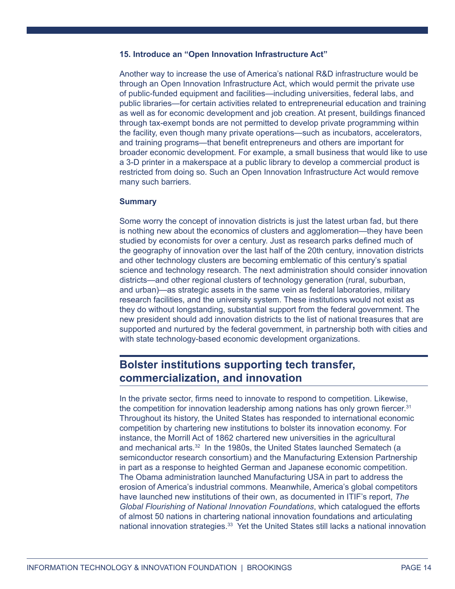#### **15. Introduce an "Open Innovation Infrastructure Act"**

Another way to increase the use of America's national R&D infrastructure would be through an Open Innovation Infrastructure Act, which would permit the private use of public-funded equipment and facilities—including universities, federal labs, and public libraries—for certain activities related to entrepreneurial education and training as well as for economic development and job creation. At present, buildings financed through tax-exempt bonds are not permitted to develop private programming within the facility, even though many private operations—such as incubators, accelerators, and training programs—that benefit entrepreneurs and others are important for broader economic development. For example, a small business that would like to use a 3-D printer in a makerspace at a public library to develop a commercial product is restricted from doing so. Such an Open Innovation Infrastructure Act would remove many such barriers.

#### **Summary**

Some worry the concept of innovation districts is just the latest urban fad, but there is nothing new about the economics of clusters and agglomeration—they have been studied by economists for over a century. Just as research parks defined much of the geography of innovation over the last half of the 20th century, innovation districts and other technology clusters are becoming emblematic of this century's spatial science and technology research. The next administration should consider innovation districts—and other regional clusters of technology generation (rural, suburban, and urban)—as strategic assets in the same vein as federal laboratories, military research facilities, and the university system. These institutions would not exist as they do without longstanding, substantial support from the federal government. The new president should add innovation districts to the list of national treasures that are supported and nurtured by the federal government, in partnership both with cities and with state technology-based economic development organizations.

# **Bolster institutions supporting tech transfer, commercialization, and innovation**

In the private sector, firms need to innovate to respond to competition. Likewise, the competition for innovation leadership among nations has only grown fiercer.<sup>31</sup> Throughout its history, the United States has responded to international economic competition by chartering new institutions to bolster its innovation economy. For instance, the Morrill Act of 1862 chartered new universities in the agricultural and mechanical arts.<sup>32</sup> In the 1980s, the United States launched Sematech (a semiconductor research consortium) and the Manufacturing Extension Partnership in part as a response to heighted German and Japanese economic competition. The Obama administration launched Manufacturing USA in part to address the erosion of America's industrial commons. Meanwhile, America's global competitors have launched new institutions of their own, as documented in ITIF's report, *The Global Flourishing of National Innovation Foundations*, which catalogued the efforts of almost 50 nations in chartering national innovation foundations and articulating national innovation strategies.<sup>33</sup> Yet the United States still lacks a national innovation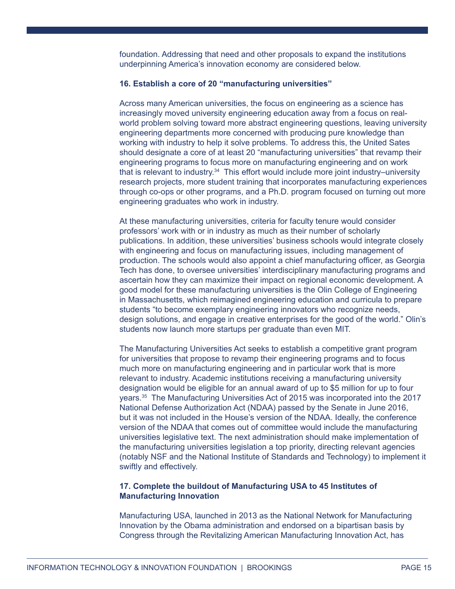foundation. Addressing that need and other proposals to expand the institutions underpinning America's innovation economy are considered below.

### **16. Establish a core of 20 "manufacturing universities"**

Across many American universities, the focus on engineering as a science has increasingly moved university engineering education away from a focus on realworld problem solving toward more abstract engineering questions, leaving university engineering departments more concerned with producing pure knowledge than working with industry to help it solve problems. To address this, the United Sates should designate a core of at least 20 "manufacturing universities" that revamp their engineering programs to focus more on manufacturing engineering and on work that is relevant to industry.<sup>34</sup> This effort would include more joint industry–university research projects, more student training that incorporates manufacturing experiences through co-ops or other programs, and a Ph.D. program focused on turning out more engineering graduates who work in industry.

At these manufacturing universities, criteria for faculty tenure would consider professors' work with or in industry as much as their number of scholarly publications. In addition, these universities' business schools would integrate closely with engineering and focus on manufacturing issues, including management of production. The schools would also appoint a chief manufacturing officer, as Georgia Tech has done, to oversee universities' interdisciplinary manufacturing programs and ascertain how they can maximize their impact on regional economic development. A good model for these manufacturing universities is the Olin College of Engineering in Massachusetts, which reimagined engineering education and curricula to prepare students "to become exemplary engineering innovators who recognize needs, design solutions, and engage in creative enterprises for the good of the world." Olin's students now launch more startups per graduate than even MIT.

The Manufacturing Universities Act seeks to establish a competitive grant program for universities that propose to revamp their engineering programs and to focus much more on manufacturing engineering and in particular work that is more relevant to industry. Academic institutions receiving a manufacturing university designation would be eligible for an annual award of up to \$5 million for up to four years.<sup>35</sup> The Manufacturing Universities Act of 2015 was incorporated into the 2017 National Defense Authorization Act (NDAA) passed by the Senate in June 2016, but it was not included in the House's version of the NDAA. Ideally, the conference version of the NDAA that comes out of committee would include the manufacturing universities legislative text. The next administration should make implementation of the manufacturing universities legislation a top priority, directing relevant agencies (notably NSF and the National Institute of Standards and Technology) to implement it swiftly and effectively.

## **17. Complete the buildout of Manufacturing USA to 45 Institutes of Manufacturing Innovation**

Manufacturing USA, launched in 2013 as the National Network for Manufacturing Innovation by the Obama administration and endorsed on a bipartisan basis by Congress through the Revitalizing American Manufacturing Innovation Act, has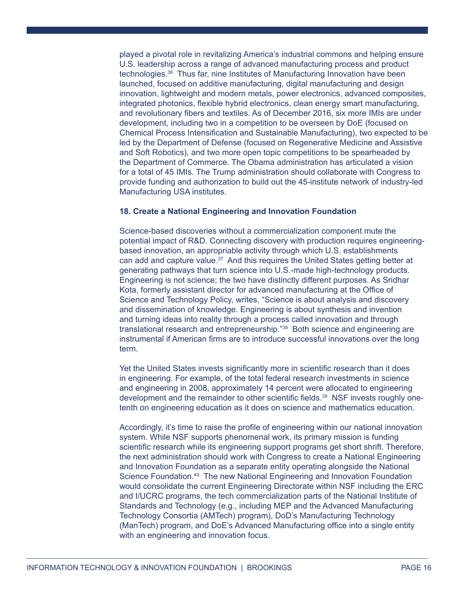played a pivotal role in revitalizing America's industrial commons and helping ensure U.S. leadership across a range of advanced manufacturing process and product technologies.<sup>36</sup> Thus far, nine Institutes of Manufacturing Innovation have been launched, focused on additive manufacturing, digital manufacturing and design innovation, lightweight and modern metals, power electronics, advanced composites, integrated photonics, flexible hybrid electronics, clean energy smart manufacturing, and revolutionary fibers and textiles. As of December 2016, six more IMIs are under development, including two in a competition to be overseen by DoE (focused on Chemical Process Intensification and Sustainable Manufacturing), two expected to be led by the Department of Defense (focused on Regenerative Medicine and Assistive and Soft Robotics), and two more open topic competitions to be spearheaded by the Department of Commerce. The Obama administration has articulated a vision for a total of 45 IMIs. The Trump administration should collaborate with Congress to provide funding and authorization to build out the 45-institute network of industry-led Manufacturing USA institutes.

## **18. Create a National Engineering and Innovation Foundation**

Science-based discoveries without a commercialization component mute the potential impact of R&D. Connecting discovery with production requires engineeringbased innovation, an appropriable activity through which U.S. establishments can add and capture value.<sup>37</sup> And this requires the United States getting better at generating pathways that turn science into U.S.-made high-technology products. Engineering is not science; the two have distinctly different purposes. As Sridhar Kota, formerly assistant director for advanced manufacturing at the Office of Science and Technology Policy, writes, "Science is about analysis and discovery and dissemination of knowledge. Engineering is about synthesis and invention and turning ideas into reality through a process called innovation and through translational research and entrepreneurship."<sup>38</sup> Both science and engineering are instrumental if American firms are to introduce successful innovations over the long term.

Yet the United States invests significantly more in scientific research than it does in engineering. For example, of the total federal research investments in science and engineering in 2008, approximately 14 percent were allocated to engineering development and the remainder to other scientific fields. $39$  NSF invests roughly onetenth on engineering education as it does on science and mathematics education.

Accordingly, it's time to raise the profile of engineering within our national innovation system. While NSF supports phenomenal work, its primary mission is funding scientific research while its engineering support programs get short shrift. Therefore, the next administration should work with Congress to create a National Engineering and Innovation Foundation as a separate entity operating alongside the National Science Foundation.<sup>40</sup> The new National Engineering and Innovation Foundation would consolidate the current Engineering Directorate within NSF including the ERC and I/UCRC programs, the tech commercialization parts of the National Institute of Standards and Technology (e.g., including MEP and the Advanced Manufacturing Technology Consortia (AMTech) program), DoD's Manufacturing Technology (ManTech) program, and DoE's Advanced Manufacturing office into a single entity with an engineering and innovation focus.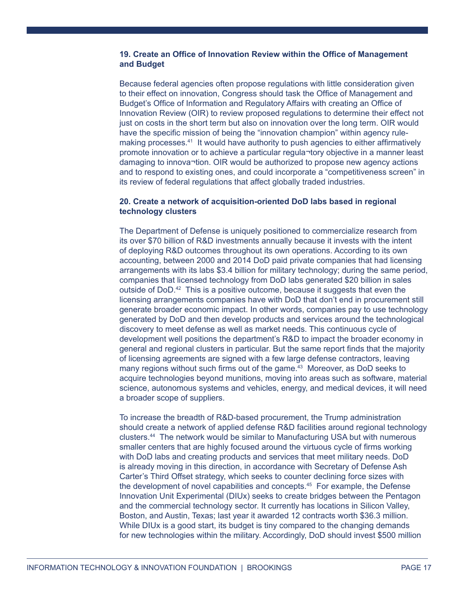# **19. Create an Office of Innovation Review within the Office of Management and Budget**

Because federal agencies often propose regulations with little consideration given to their effect on innovation, Congress should task the Office of Management and Budget's Office of Information and Regulatory Affairs with creating an Office of Innovation Review (OIR) to review proposed regulations to determine their effect not just on costs in the short term but also on innovation over the long term. OIR would have the specific mission of being the "innovation champion" within agency rulemaking processes.<sup>41</sup> It would have authority to push agencies to either affirmatively promote innovation or to achieve a particular regula¬tory objective in a manner least damaging to innova¬tion. OIR would be authorized to propose new agency actions and to respond to existing ones, and could incorporate a "competitiveness screen" in its review of federal regulations that affect globally traded industries.

# **20. Create a network of acquisition-oriented DoD labs based in regional technology clusters**

The Department of Defense is uniquely positioned to commercialize research from its over \$70 billion of R&D investments annually because it invests with the intent of deploying R&D outcomes throughout its own operations. According to its own accounting, between 2000 and 2014 DoD paid private companies that had licensing arrangements with its labs \$3.4 billion for military technology; during the same period, companies that licensed technology from DoD labs generated \$20 billion in sales outside of  $DoD<sup>42</sup>$  This is a positive outcome, because it suggests that even the licensing arrangements companies have with DoD that don't end in procurement still generate broader economic impact. In other words, companies pay to use technology generated by DoD and then develop products and services around the technological discovery to meet defense as well as market needs. This continuous cycle of development well positions the department's R&D to impact the broader economy in general and regional clusters in particular. But the same report finds that the majority of licensing agreements are signed with a few large defense contractors, leaving many regions without such firms out of the game.<sup>43</sup> Moreover, as DoD seeks to acquire technologies beyond munitions, moving into areas such as software, material science, autonomous systems and vehicles, energy, and medical devices, it will need a broader scope of suppliers.

To increase the breadth of R&D-based procurement, the Trump administration should create a network of applied defense R&D facilities around regional technology clusters.<sup>44</sup> The network would be similar to Manufacturing USA but with numerous smaller centers that are highly focused around the virtuous cycle of firms working with DoD labs and creating products and services that meet military needs. DoD is already moving in this direction, in accordance with Secretary of Defense Ash Carter's Third Offset strategy, which seeks to counter declining force sizes with the development of novel capabilities and concepts.<sup>45</sup> For example, the Defense Innovation Unit Experimental (DIUx) seeks to create bridges between the Pentagon and the commercial technology sector. It currently has locations in Silicon Valley, Boston, and Austin, Texas; last year it awarded 12 contracts worth \$36.3 million. While DIUx is a good start, its budget is tiny compared to the changing demands for new technologies within the military. Accordingly, DoD should invest \$500 million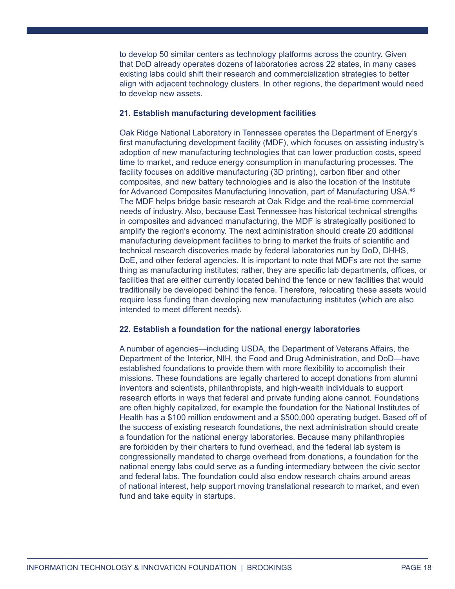to develop 50 similar centers as technology platforms across the country. Given that DoD already operates dozens of laboratories across 22 states, in many cases existing labs could shift their research and commercialization strategies to better align with adjacent technology clusters. In other regions, the department would need to develop new assets.

### **21. Establish manufacturing development facilities**

Oak Ridge National Laboratory in Tennessee operates the Department of Energy's first manufacturing development facility (MDF), which focuses on assisting industry's adoption of new manufacturing technologies that can lower production costs, speed time to market, and reduce energy consumption in manufacturing processes. The facility focuses on additive manufacturing (3D printing), carbon fiber and other composites, and new battery technologies and is also the location of the Institute for Advanced Composites Manufacturing Innovation, part of Manufacturing USA.46 The MDF helps bridge basic research at Oak Ridge and the real-time commercial needs of industry. Also, because East Tennessee has historical technical strengths in composites and advanced manufacturing, the MDF is strategically positioned to amplify the region's economy. The next administration should create 20 additional manufacturing development facilities to bring to market the fruits of scientific and technical research discoveries made by federal laboratories run by DoD, DHHS, DoE, and other federal agencies. It is important to note that MDFs are not the same thing as manufacturing institutes; rather, they are specific lab departments, offices, or facilities that are either currently located behind the fence or new facilities that would traditionally be developed behind the fence. Therefore, relocating these assets would require less funding than developing new manufacturing institutes (which are also intended to meet different needs).

#### **22. Establish a foundation for the national energy laboratories**

A number of agencies—including USDA, the Department of Veterans Affairs, the Department of the Interior, NIH, the Food and Drug Administration, and DoD—have established foundations to provide them with more flexibility to accomplish their missions. These foundations are legally chartered to accept donations from alumni inventors and scientists, philanthropists, and high-wealth individuals to support research efforts in ways that federal and private funding alone cannot. Foundations are often highly capitalized, for example the foundation for the National Institutes of Health has a \$100 million endowment and a \$500,000 operating budget. Based off of the success of existing research foundations, the next administration should create a foundation for the national energy laboratories. Because many philanthropies are forbidden by their charters to fund overhead, and the federal lab system is congressionally mandated to charge overhead from donations, a foundation for the national energy labs could serve as a funding intermediary between the civic sector and federal labs. The foundation could also endow research chairs around areas of national interest, help support moving translational research to market, and even fund and take equity in startups.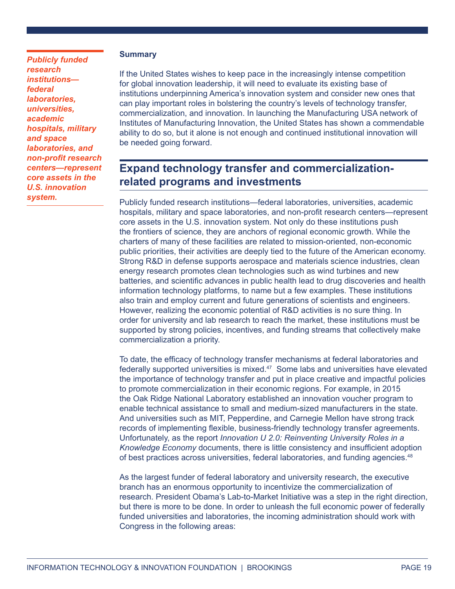# *Publicly funded research institutions federal laboratories, universities, academic hospitals, military and space laboratories, and non-profit research centers—represent core assets in the U.S. innovation system.*

# **Summary**

If the United States wishes to keep pace in the increasingly intense competition for global innovation leadership, it will need to evaluate its existing base of institutions underpinning America's innovation system and consider new ones that can play important roles in bolstering the country's levels of technology transfer, commercialization, and innovation. In launching the Manufacturing USA network of Institutes of Manufacturing Innovation, the United States has shown a commendable ability to do so, but it alone is not enough and continued institutional innovation will be needed going forward.

# **Expand technology transfer and commercializationrelated programs and investments**

Publicly funded research institutions—federal laboratories, universities, academic hospitals, military and space laboratories, and non-profit research centers—represent core assets in the U.S. innovation system. Not only do these institutions push the frontiers of science, they are anchors of regional economic growth. While the charters of many of these facilities are related to mission-oriented, non-economic public priorities, their activities are deeply tied to the future of the American economy. Strong R&D in defense supports aerospace and materials science industries, clean energy research promotes clean technologies such as wind turbines and new batteries, and scientific advances in public health lead to drug discoveries and health information technology platforms, to name but a few examples. These institutions also train and employ current and future generations of scientists and engineers. However, realizing the economic potential of R&D activities is no sure thing. In order for university and lab research to reach the market, these institutions must be supported by strong policies, incentives, and funding streams that collectively make commercialization a priority.

To date, the efficacy of technology transfer mechanisms at federal laboratories and federally supported universities is mixed.<sup>47</sup> Some labs and universities have elevated the importance of technology transfer and put in place creative and impactful policies to promote commercialization in their economic regions. For example, in 2015 the Oak Ridge National Laboratory established an innovation voucher program to enable technical assistance to small and medium-sized manufacturers in the state. And universities such as MIT, Pepperdine, and Carnegie Mellon have strong track records of implementing flexible, business-friendly technology transfer agreements. Unfortunately, as the report *Innovation U 2.0: Reinventing University Roles in a Knowledge Economy* documents, there is little consistency and insufficient adoption of best practices across universities, federal laboratories, and funding agencies.<sup>48</sup>

As the largest funder of federal laboratory and university research, the executive branch has an enormous opportunity to incentivize the commercialization of research. President Obama's Lab-to-Market Initiative was a step in the right direction, but there is more to be done. In order to unleash the full economic power of federally funded universities and laboratories, the incoming administration should work with Congress in the following areas: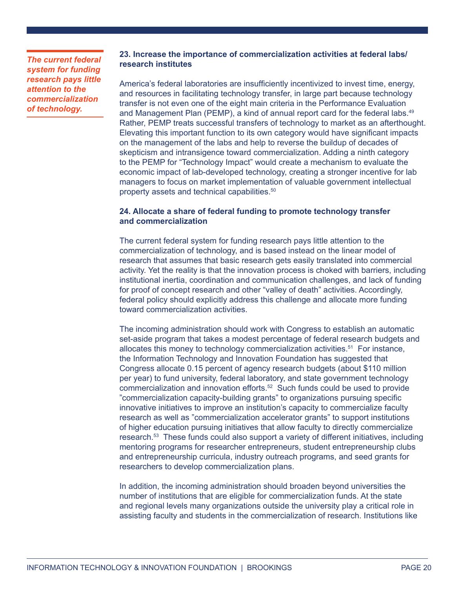*The current federal system for funding research pays little attention to the commercialization of technology.*

# **23. Increase the importance of commercialization activities at federal labs/ research institutes**

America's federal laboratories are insufficiently incentivized to invest time, energy, and resources in facilitating technology transfer, in large part because technology transfer is not even one of the eight main criteria in the Performance Evaluation and Management Plan (PEMP), a kind of annual report card for the federal labs.<sup>49</sup> Rather, PEMP treats successful transfers of technology to market as an afterthought. Elevating this important function to its own category would have significant impacts on the management of the labs and help to reverse the buildup of decades of skepticism and intransigence toward commercialization. Adding a ninth category to the PEMP for "Technology Impact" would create a mechanism to evaluate the economic impact of lab-developed technology, creating a stronger incentive for lab managers to focus on market implementation of valuable government intellectual property assets and technical capabilities.50

# **24. Allocate a share of federal funding to promote technology transfer and commercialization**

The current federal system for funding research pays little attention to the commercialization of technology, and is based instead on the linear model of research that assumes that basic research gets easily translated into commercial activity. Yet the reality is that the innovation process is choked with barriers, including institutional inertia, coordination and communication challenges, and lack of funding for proof of concept research and other "valley of death" activities. Accordingly, federal policy should explicitly address this challenge and allocate more funding toward commercialization activities.

The incoming administration should work with Congress to establish an automatic set-aside program that takes a modest percentage of federal research budgets and allocates this money to technology commercialization activities.51 For instance, the Information Technology and Innovation Foundation has suggested that Congress allocate 0.15 percent of agency research budgets (about \$110 million per year) to fund university, federal laboratory, and state government technology commercialization and innovation efforts.52 Such funds could be used to provide "commercialization capacity-building grants" to organizations pursuing specific innovative initiatives to improve an institution's capacity to commercialize faculty research as well as "commercialization accelerator grants" to support institutions of higher education pursuing initiatives that allow faculty to directly commercialize research.53 These funds could also support a variety of different initiatives, including mentoring programs for researcher entrepreneurs, student entrepreneurship clubs and entrepreneurship curricula, industry outreach programs, and seed grants for researchers to develop commercialization plans.

In addition, the incoming administration should broaden beyond universities the number of institutions that are eligible for commercialization funds. At the state and regional levels many organizations outside the university play a critical role in assisting faculty and students in the commercialization of research. Institutions like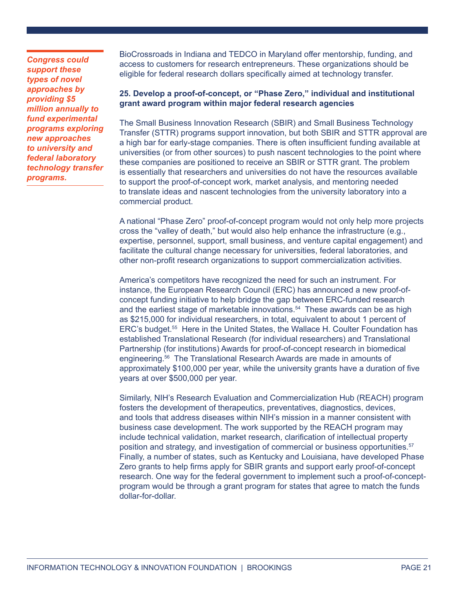*Congress could support these types of novel approaches by providing \$5 million annually to fund experimental programs exploring new approaches to university and federal laboratory technology transfer programs.*

BioCrossroads in Indiana and TEDCO in Maryland offer mentorship, funding, and access to customers for research entrepreneurs. These organizations should be eligible for federal research dollars specifically aimed at technology transfer.

# **25. Develop a proof-of-concept, or "Phase Zero," individual and institutional grant award program within major federal research agencies**

The Small Business Innovation Research (SBIR) and Small Business Technology Transfer (STTR) programs support innovation, but both SBIR and STTR approval are a high bar for early-stage companies. There is often insufficient funding available at universities (or from other sources) to push nascent technologies to the point where these companies are positioned to receive an SBIR or STTR grant. The problem is essentially that researchers and universities do not have the resources available to support the proof-of-concept work, market analysis, and mentoring needed to translate ideas and nascent technologies from the university laboratory into a commercial product.

A national "Phase Zero" proof-of-concept program would not only help more projects cross the "valley of death," but would also help enhance the infrastructure (e.g., expertise, personnel, support, small business, and venture capital engagement) and facilitate the cultural change necessary for universities, federal laboratories, and other non-profit research organizations to support commercialization activities.

America's competitors have recognized the need for such an instrument. For instance, the European Research Council (ERC) has announced a new proof-ofconcept funding initiative to help bridge the gap between ERC-funded research and the earliest stage of marketable innovations.<sup>54</sup> These awards can be as high as \$215,000 for individual researchers, in total, equivalent to about 1 percent of ERC's budget.<sup>55</sup> Here in the United States, the Wallace H. Coulter Foundation has established Translational Research (for individual researchers) and Translational Partnership (for institutions) Awards for proof-of-concept research in biomedical engineering.<sup>56</sup> The Translational Research Awards are made in amounts of approximately \$100,000 per year, while the university grants have a duration of five years at over \$500,000 per year.

Similarly, NIH's Research Evaluation and Commercialization Hub (REACH) program fosters the development of therapeutics, preventatives, diagnostics, devices, and tools that address diseases within NIH's mission in a manner consistent with business case development. The work supported by the REACH program may include technical validation, market research, clarification of intellectual property position and strategy, and investigation of commercial or business opportunities.<sup>57</sup> Finally, a number of states, such as Kentucky and Louisiana, have developed Phase Zero grants to help firms apply for SBIR grants and support early proof-of-concept research. One way for the federal government to implement such a proof-of-conceptprogram would be through a grant program for states that agree to match the funds dollar-for-dollar.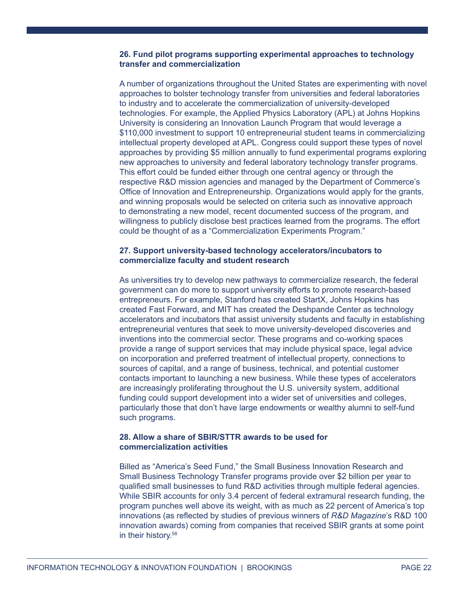# **26. Fund pilot programs supporting experimental approaches to technology transfer and commercialization**

A number of organizations throughout the United States are experimenting with novel approaches to bolster technology transfer from universities and federal laboratories to industry and to accelerate the commercialization of university-developed technologies. For example, the Applied Physics Laboratory (APL) at Johns Hopkins University is considering an Innovation Launch Program that would leverage a \$110,000 investment to support 10 entrepreneurial student teams in commercializing intellectual property developed at APL. Congress could support these types of novel approaches by providing \$5 million annually to fund experimental programs exploring new approaches to university and federal laboratory technology transfer programs. This effort could be funded either through one central agency or through the respective R&D mission agencies and managed by the Department of Commerce's Office of Innovation and Entrepreneurship. Organizations would apply for the grants, and winning proposals would be selected on criteria such as innovative approach to demonstrating a new model, recent documented success of the program, and willingness to publicly disclose best practices learned from the programs. The effort could be thought of as a "Commercialization Experiments Program."

# **27. Support university-based technology accelerators/incubators to commercialize faculty and student research**

As universities try to develop new pathways to commercialize research, the federal government can do more to support university efforts to promote research-based entrepreneurs. For example, Stanford has created StartX, Johns Hopkins has created Fast Forward, and MIT has created the Deshpande Center as technology accelerators and incubators that assist university students and faculty in establishing entrepreneurial ventures that seek to move university-developed discoveries and inventions into the commercial sector. These programs and co-working spaces provide a range of support services that may include physical space, legal advice on incorporation and preferred treatment of intellectual property, connections to sources of capital, and a range of business, technical, and potential customer contacts important to launching a new business. While these types of accelerators are increasingly proliferating throughout the U.S. university system, additional funding could support development into a wider set of universities and colleges, particularly those that don't have large endowments or wealthy alumni to self-fund such programs.

## **28. Allow a share of SBIR/STTR awards to be used for commercialization activities**

Billed as "America's Seed Fund," the Small Business Innovation Research and Small Business Technology Transfer programs provide over \$2 billion per year to qualified small businesses to fund R&D activities through multiple federal agencies. While SBIR accounts for only 3.4 percent of federal extramural research funding, the program punches well above its weight, with as much as 22 percent of America's top innovations (as reflected by studies of previous winners of *R&D Magazine*'s R&D 100 innovation awards) coming from companies that received SBIR grants at some point in their history.<sup>58</sup>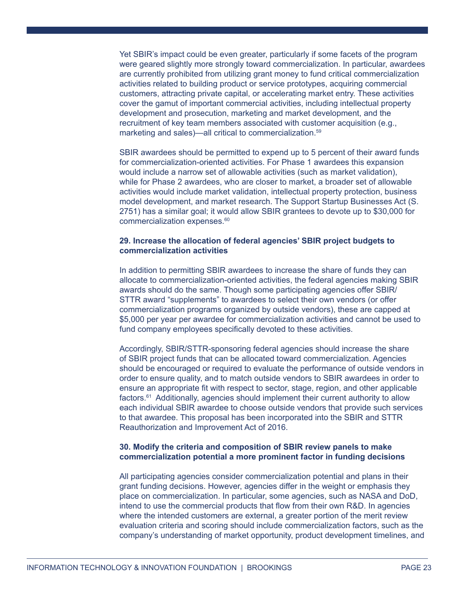Yet SBIR's impact could be even greater, particularly if some facets of the program were geared slightly more strongly toward commercialization. In particular, awardees are currently prohibited from utilizing grant money to fund critical commercialization activities related to building product or service prototypes, acquiring commercial customers, attracting private capital, or accelerating market entry. These activities cover the gamut of important commercial activities, including intellectual property development and prosecution, marketing and market development, and the recruitment of key team members associated with customer acquisition (e.g., marketing and sales)—all critical to commercialization.<sup>59</sup>

SBIR awardees should be permitted to expend up to 5 percent of their award funds for commercialization-oriented activities. For Phase 1 awardees this expansion would include a narrow set of allowable activities (such as market validation), while for Phase 2 awardees, who are closer to market, a broader set of allowable activities would include market validation, intellectual property protection, business model development, and market research. The Support Startup Businesses Act (S. 2751) has a similar goal; it would allow SBIR grantees to devote up to \$30,000 for commercialization expenses.<sup>60</sup>

#### **29. Increase the allocation of federal agencies' SBIR project budgets to commercialization activities**

In addition to permitting SBIR awardees to increase the share of funds they can allocate to commercialization-oriented activities, the federal agencies making SBIR awards should do the same. Though some participating agencies offer SBIR/ STTR award "supplements" to awardees to select their own vendors (or offer commercialization programs organized by outside vendors), these are capped at \$5,000 per year per awardee for commercialization activities and cannot be used to fund company employees specifically devoted to these activities.

Accordingly, SBIR/STTR-sponsoring federal agencies should increase the share of SBIR project funds that can be allocated toward commercialization. Agencies should be encouraged or required to evaluate the performance of outside vendors in order to ensure quality, and to match outside vendors to SBIR awardees in order to ensure an appropriate fit with respect to sector, stage, region, and other applicable factors.<sup>61</sup> Additionally, agencies should implement their current authority to allow each individual SBIR awardee to choose outside vendors that provide such services to that awardee. This proposal has been incorporated into the SBIR and STTR Reauthorization and Improvement Act of 2016.

# **30. Modify the criteria and composition of SBIR review panels to make commercialization potential a more prominent factor in funding decisions**

All participating agencies consider commercialization potential and plans in their grant funding decisions. However, agencies differ in the weight or emphasis they place on commercialization. In particular, some agencies, such as NASA and DoD, intend to use the commercial products that flow from their own R&D. In agencies where the intended customers are external, a greater portion of the merit review evaluation criteria and scoring should include commercialization factors, such as the company's understanding of market opportunity, product development timelines, and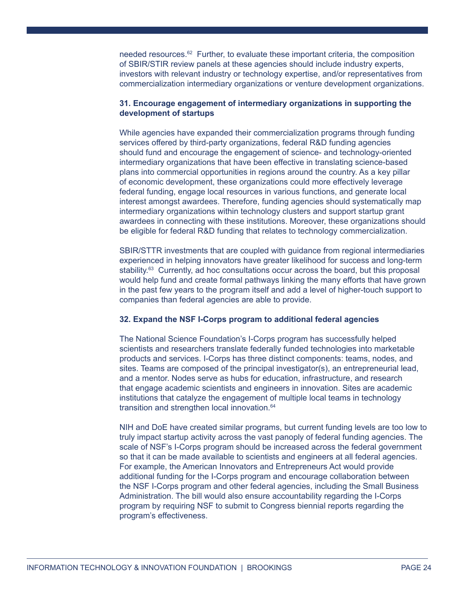needed resources.62 Further, to evaluate these important criteria, the composition of SBIR/STIR review panels at these agencies should include industry experts, investors with relevant industry or technology expertise, and/or representatives from commercialization intermediary organizations or venture development organizations.

# **31. Encourage engagement of intermediary organizations in supporting the development of startups**

While agencies have expanded their commercialization programs through funding services offered by third-party organizations, federal R&D funding agencies should fund and encourage the engagement of science- and technology-oriented intermediary organizations that have been effective in translating science-based plans into commercial opportunities in regions around the country. As a key pillar of economic development, these organizations could more effectively leverage federal funding, engage local resources in various functions, and generate local interest amongst awardees. Therefore, funding agencies should systematically map intermediary organizations within technology clusters and support startup grant awardees in connecting with these institutions. Moreover, these organizations should be eligible for federal R&D funding that relates to technology commercialization.

SBIR/STTR investments that are coupled with guidance from regional intermediaries experienced in helping innovators have greater likelihood for success and long-term stability.<sup>63</sup> Currently, ad hoc consultations occur across the board, but this proposal would help fund and create formal pathways linking the many efforts that have grown in the past few years to the program itself and add a level of higher-touch support to companies than federal agencies are able to provide.

#### **32. Expand the NSF I-Corps program to additional federal agencies**

The National Science Foundation's I-Corps program has successfully helped scientists and researchers translate federally funded technologies into marketable products and services. I-Corps has three distinct components: teams, nodes, and sites. Teams are composed of the principal investigator(s), an entrepreneurial lead, and a mentor. Nodes serve as hubs for education, infrastructure, and research that engage academic scientists and engineers in innovation. Sites are academic institutions that catalyze the engagement of multiple local teams in technology transition and strengthen local innovation.<sup>64</sup>

NIH and DoE have created similar programs, but current funding levels are too low to truly impact startup activity across the vast panoply of federal funding agencies. The scale of NSF's I-Corps program should be increased across the federal government so that it can be made available to scientists and engineers at all federal agencies. For example, the American Innovators and Entrepreneurs Act would provide additional funding for the I-Corps program and encourage collaboration between the NSF I-Corps program and other federal agencies, including the Small Business Administration. The bill would also ensure accountability regarding the I-Corps program by requiring NSF to submit to Congress biennial reports regarding the program's effectiveness.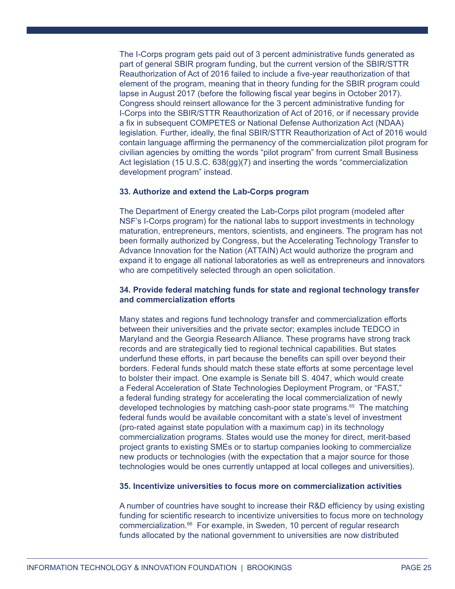The I-Corps program gets paid out of 3 percent administrative funds generated as part of general SBIR program funding, but the current version of the SBIR/STTR Reauthorization of Act of 2016 failed to include a five-year reauthorization of that element of the program, meaning that in theory funding for the SBIR program could lapse in August 2017 (before the following fiscal year begins in October 2017). Congress should reinsert allowance for the 3 percent administrative funding for I-Corps into the SBIR/STTR Reauthorization of Act of 2016, or if necessary provide a fix in subsequent COMPETES or National Defense Authorization Act (NDAA) legislation. Further, ideally, the final SBIR/STTR Reauthorization of Act of 2016 would contain language affirming the permanency of the commercialization pilot program for civilian agencies by omitting the words "pilot program" from current Small Business Act legislation (15 U.S.C. 638(gg)(7) and inserting the words "commercialization development program" instead.

## **33. Authorize and extend the Lab-Corps program**

The Department of Energy created the Lab-Corps pilot program (modeled after NSF's I-Corps program) for the national labs to support investments in technology maturation, entrepreneurs, mentors, scientists, and engineers. The program has not been formally authorized by Congress, but the Accelerating Technology Transfer to Advance Innovation for the Nation (ATTAIN) Act would authorize the program and expand it to engage all national laboratories as well as entrepreneurs and innovators who are competitively selected through an open solicitation.

### **34. Provide federal matching funds for state and regional technology transfer and commercialization efforts**

Many states and regions fund technology transfer and commercialization efforts between their universities and the private sector; examples include TEDCO in Maryland and the Georgia Research Alliance. These programs have strong track records and are strategically tied to regional technical capabilities. But states underfund these efforts, in part because the benefits can spill over beyond their borders. Federal funds should match these state efforts at some percentage level to bolster their impact. One example is Senate bill S. 4047, which would create a Federal Acceleration of State Technologies Deployment Program, or "FAST," a federal funding strategy for accelerating the local commercialization of newly developed technologies by matching cash-poor state programs.<sup>65</sup> The matching federal funds would be available concomitant with a state's level of investment (pro-rated against state population with a maximum cap) in its technology commercialization programs. States would use the money for direct, merit-based project grants to existing SMEs or to startup companies looking to commercialize new products or technologies (with the expectation that a major source for those technologies would be ones currently untapped at local colleges and universities).

#### **35. Incentivize universities to focus more on commercialization activities**

A number of countries have sought to increase their R&D efficiency by using existing funding for scientific research to incentivize universities to focus more on technology commercialization.<sup>66</sup> For example, in Sweden, 10 percent of regular research funds allocated by the national government to universities are now distributed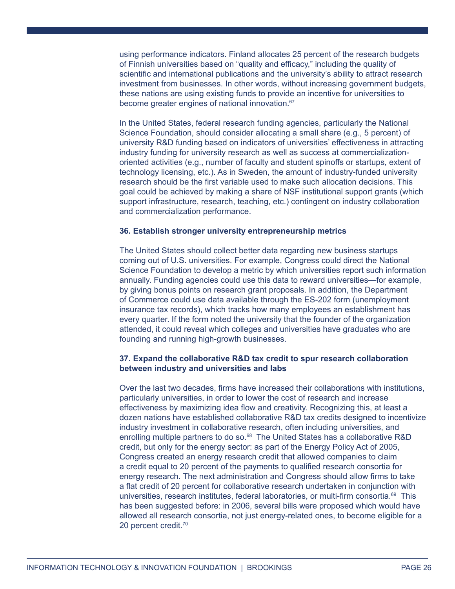using performance indicators. Finland allocates 25 percent of the research budgets of Finnish universities based on "quality and efficacy," including the quality of scientific and international publications and the university's ability to attract research investment from businesses. In other words, without increasing government budgets, these nations are using existing funds to provide an incentive for universities to become greater engines of national innovation.<sup>67</sup>

In the United States, federal research funding agencies, particularly the National Science Foundation, should consider allocating a small share (e.g., 5 percent) of university R&D funding based on indicators of universities' effectiveness in attracting industry funding for university research as well as success at commercializationoriented activities (e.g., number of faculty and student spinoffs or startups, extent of technology licensing, etc.). As in Sweden, the amount of industry-funded university research should be the first variable used to make such allocation decisions. This goal could be achieved by making a share of NSF institutional support grants (which support infrastructure, research, teaching, etc.) contingent on industry collaboration and commercialization performance.

#### **36. Establish stronger university entrepreneurship metrics**

The United States should collect better data regarding new business startups coming out of U.S. universities. For example, Congress could direct the National Science Foundation to develop a metric by which universities report such information annually. Funding agencies could use this data to reward universities—for example, by giving bonus points on research grant proposals. In addition, the Department of Commerce could use data available through the ES-202 form (unemployment insurance tax records), which tracks how many employees an establishment has every quarter. If the form noted the university that the founder of the organization attended, it could reveal which colleges and universities have graduates who are founding and running high-growth businesses.

## **37. Expand the collaborative R&D tax credit to spur research collaboration between industry and universities and labs**

Over the last two decades, firms have increased their collaborations with institutions, particularly universities, in order to lower the cost of research and increase effectiveness by maximizing idea flow and creativity. Recognizing this, at least a dozen nations have established collaborative R&D tax credits designed to incentivize industry investment in collaborative research, often including universities, and enrolling multiple partners to do so. $^{68}$  The United States has a collaborative R&D credit, but only for the energy sector: as part of the Energy Policy Act of 2005, Congress created an energy research credit that allowed companies to claim a credit equal to 20 percent of the payments to qualified research consortia for energy research. The next administration and Congress should allow firms to take a flat credit of 20 percent for collaborative research undertaken in conjunction with universities, research institutes, federal laboratories, or multi-firm consortia.<sup>69</sup> This has been suggested before: in 2006, several bills were proposed which would have allowed all research consortia, not just energy-related ones, to become eligible for a 20 percent credit.70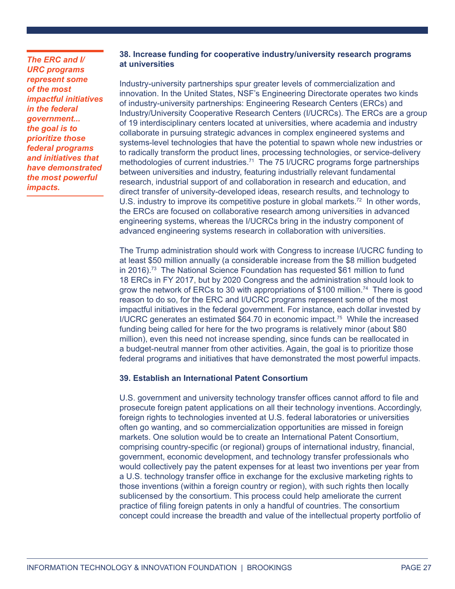*The ERC and I/ URC programs represent some of the most impactful initiatives in the federal government... the goal is to prioritize those federal programs and initiatives that have demonstrated the most powerful impacts.*

# **38. Increase funding for cooperative industry/university research programs at universities**

Industry-university partnerships spur greater levels of commercialization and innovation. In the United States, NSF's Engineering Directorate operates two kinds of industry-university partnerships: Engineering Research Centers (ERCs) and Industry/University Cooperative Research Centers (I/UCRCs). The ERCs are a group of 19 interdisciplinary centers located at universities, where academia and industry collaborate in pursuing strategic advances in complex engineered systems and systems-level technologies that have the potential to spawn whole new industries or to radically transform the product lines, processing technologies, or service-delivery methodologies of current industries.<sup> $71$ </sup> The 75 I/UCRC programs forge partnerships between universities and industry, featuring industrially relevant fundamental research, industrial support of and collaboration in research and education, and direct transfer of university-developed ideas, research results, and technology to U.S. industry to improve its competitive posture in global markets.<sup>72</sup> In other words, the ERCs are focused on collaborative research among universities in advanced engineering systems, whereas the I/UCRCs bring in the industry component of advanced engineering systems research in collaboration with universities.

The Trump administration should work with Congress to increase I/UCRC funding to at least \$50 million annually (a considerable increase from the \$8 million budgeted in 2016).<sup>73</sup> The National Science Foundation has requested \$61 million to fund 18 ERCs in FY 2017, but by 2020 Congress and the administration should look to grow the network of ERCs to 30 with appropriations of \$100 million.<sup>74</sup> There is good reason to do so, for the ERC and I/UCRC programs represent some of the most impactful initiatives in the federal government. For instance, each dollar invested by I/UCRC generates an estimated \$64.70 in economic impact.75 While the increased funding being called for here for the two programs is relatively minor (about \$80 million), even this need not increase spending, since funds can be reallocated in a budget-neutral manner from other activities. Again, the goal is to prioritize those federal programs and initiatives that have demonstrated the most powerful impacts.

# **39. Establish an International Patent Consortium**

U.S. government and university technology transfer offices cannot afford to file and prosecute foreign patent applications on all their technology inventions. Accordingly, foreign rights to technologies invented at U.S. federal laboratories or universities often go wanting, and so commercialization opportunities are missed in foreign markets. One solution would be to create an International Patent Consortium, comprising country-specific (or regional) groups of international industry, financial, government, economic development, and technology transfer professionals who would collectively pay the patent expenses for at least two inventions per year from a U.S. technology transfer office in exchange for the exclusive marketing rights to those inventions (within a foreign country or region), with such rights then locally sublicensed by the consortium. This process could help ameliorate the current practice of filing foreign patents in only a handful of countries. The consortium concept could increase the breadth and value of the intellectual property portfolio of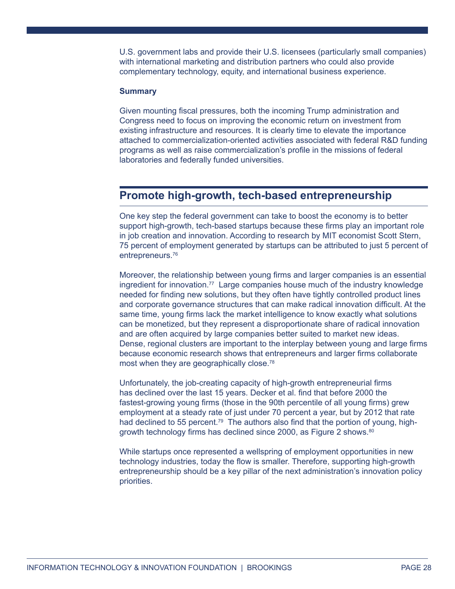U.S. government labs and provide their U.S. licensees (particularly small companies) with international marketing and distribution partners who could also provide complementary technology, equity, and international business experience.

#### **Summary**

Given mounting fiscal pressures, both the incoming Trump administration and Congress need to focus on improving the economic return on investment from existing infrastructure and resources. It is clearly time to elevate the importance attached to commercialization-oriented activities associated with federal R&D funding programs as well as raise commercialization's profile in the missions of federal laboratories and federally funded universities.

# **Promote high-growth, tech-based entrepreneurship**

One key step the federal government can take to boost the economy is to better support high-growth, tech-based startups because these firms play an important role in job creation and innovation. According to research by MIT economist Scott Stern, 75 percent of employment generated by startups can be attributed to just 5 percent of entrepreneurs.<sup>76</sup>

Moreover, the relationship between young firms and larger companies is an essential ingredient for innovation.<sup>77</sup> Large companies house much of the industry knowledge needed for finding new solutions, but they often have tightly controlled product lines and corporate governance structures that can make radical innovation difficult. At the same time, young firms lack the market intelligence to know exactly what solutions can be monetized, but they represent a disproportionate share of radical innovation and are often acquired by large companies better suited to market new ideas. Dense, regional clusters are important to the interplay between young and large firms because economic research shows that entrepreneurs and larger firms collaborate most when they are geographically close.<sup>78</sup>

Unfortunately, the job-creating capacity of high-growth entrepreneurial firms has declined over the last 15 years. Decker et al. find that before 2000 the fastest-growing young firms (those in the 90th percentile of all young firms) grew employment at a steady rate of just under 70 percent a year, but by 2012 that rate had declined to 55 percent.<sup>79</sup> The authors also find that the portion of young, highgrowth technology firms has declined since 2000, as Figure 2 shows.<sup>80</sup>

While startups once represented a wellspring of employment opportunities in new technology industries, today the flow is smaller. Therefore, supporting high-growth entrepreneurship should be a key pillar of the next administration's innovation policy priorities.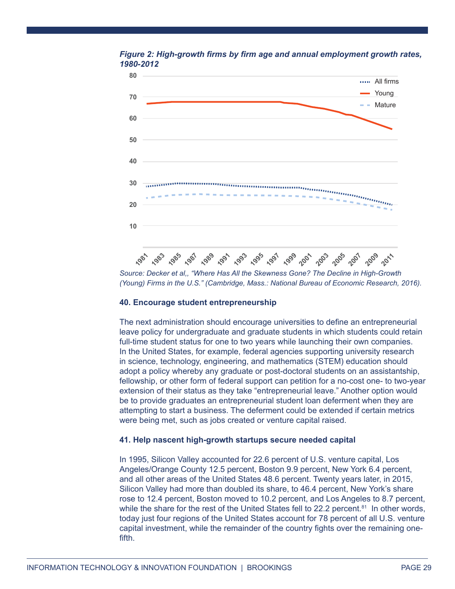



*Source: Decker et al,, "Where Has All the Skewness Gone? The Decline in High-Growth (Young) Firms in the U.S." (Cambridge, Mass.: National Bureau of Economic Research, 2016).* 

#### **40. Encourage student entrepreneurship**

The next administration should encourage universities to define an entrepreneurial leave policy for undergraduate and graduate students in which students could retain full-time student status for one to two years while launching their own companies. In the United States, for example, federal agencies supporting university research in science, technology, engineering, and mathematics (STEM) education should adopt a policy whereby any graduate or post-doctoral students on an assistantship, fellowship, or other form of federal support can petition for a no-cost one- to two-year extension of their status as they take "entrepreneurial leave." Another option would be to provide graduates an entrepreneurial student loan deferment when they are attempting to start a business. The deferment could be extended if certain metrics were being met, such as jobs created or venture capital raised.

#### **41. Help nascent high-growth startups secure needed capital**

In 1995, Silicon Valley accounted for 22.6 percent of U.S. venture capital, Los Angeles/Orange County 12.5 percent, Boston 9.9 percent, New York 6.4 percent, and all other areas of the United States 48.6 percent. Twenty years later, in 2015, Silicon Valley had more than doubled its share, to 46.4 percent, New York's share rose to 12.4 percent, Boston moved to 10.2 percent, and Los Angeles to 8.7 percent, while the share for the rest of the United States fell to 22.2 percent.<sup>81</sup> In other words, today just four regions of the United States account for 78 percent of all U.S. venture capital investment, while the remainder of the country fights over the remaining onefifth.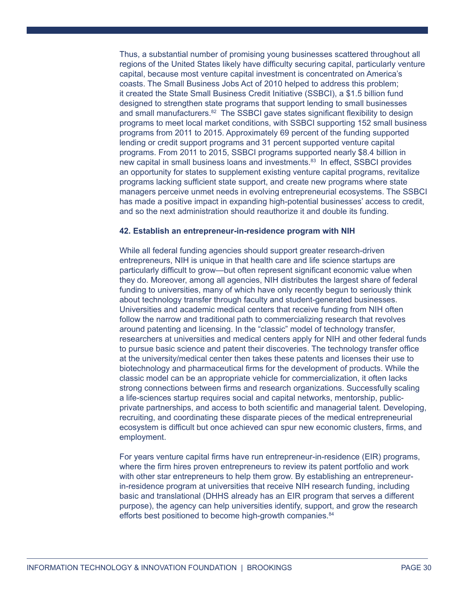Thus, a substantial number of promising young businesses scattered throughout all regions of the United States likely have difficulty securing capital, particularly venture capital, because most venture capital investment is concentrated on America's coasts. The Small Business Jobs Act of 2010 helped to address this problem; it created the State Small Business Credit Initiative (SSBCI), a \$1.5 billion fund designed to strengthen state programs that support lending to small businesses and small manufacturers.<sup>82</sup> The SSBCI gave states significant flexibility to design programs to meet local market conditions, with SSBCI supporting 152 small business programs from 2011 to 2015. Approximately 69 percent of the funding supported lending or credit support programs and 31 percent supported venture capital programs. From 2011 to 2015, SSBCI programs supported nearly \$8.4 billion in new capital in small business loans and investments.<sup>83</sup> In effect, SSBCI provides an opportunity for states to supplement existing venture capital programs, revitalize programs lacking sufficient state support, and create new programs where state managers perceive unmet needs in evolving entrepreneurial ecosystems. The SSBCI has made a positive impact in expanding high-potential businesses' access to credit, and so the next administration should reauthorize it and double its funding.

#### **42. Establish an entrepreneur-in-residence program with NIH**

While all federal funding agencies should support greater research-driven entrepreneurs, NIH is unique in that health care and life science startups are particularly difficult to grow—but often represent significant economic value when they do. Moreover, among all agencies, NIH distributes the largest share of federal funding to universities, many of which have only recently begun to seriously think about technology transfer through faculty and student-generated businesses. Universities and academic medical centers that receive funding from NIH often follow the narrow and traditional path to commercializing research that revolves around patenting and licensing. In the "classic" model of technology transfer, researchers at universities and medical centers apply for NIH and other federal funds to pursue basic science and patent their discoveries. The technology transfer office at the university/medical center then takes these patents and licenses their use to biotechnology and pharmaceutical firms for the development of products. While the classic model can be an appropriate vehicle for commercialization, it often lacks strong connections between firms and research organizations. Successfully scaling a life-sciences startup requires social and capital networks, mentorship, publicprivate partnerships, and access to both scientific and managerial talent. Developing, recruiting, and coordinating these disparate pieces of the medical entrepreneurial ecosystem is difficult but once achieved can spur new economic clusters, firms, and employment.

For years venture capital firms have run entrepreneur-in-residence (EIR) programs, where the firm hires proven entrepreneurs to review its patent portfolio and work with other star entrepreneurs to help them grow. By establishing an entrepreneurin-residence program at universities that receive NIH research funding, including basic and translational (DHHS already has an EIR program that serves a different purpose), the agency can help universities identify, support, and grow the research efforts best positioned to become high-growth companies.<sup>84</sup>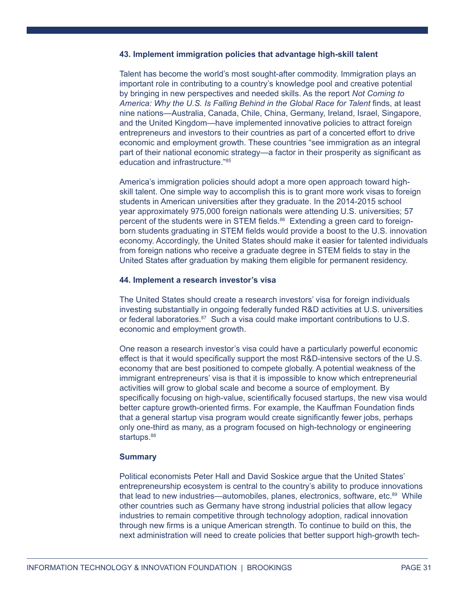#### **43. Implement immigration policies that advantage high-skill talent**

Talent has become the world's most sought-after commodity. Immigration plays an important role in contributing to a country's knowledge pool and creative potential by bringing in new perspectives and needed skills. As the report *Not Coming to*  America: Why the U.S. Is Falling Behind in the Global Race for Talent finds, at least nine nations—Australia, Canada, Chile, China, Germany, Ireland, Israel, Singapore, and the United Kingdom—have implemented innovative policies to attract foreign entrepreneurs and investors to their countries as part of a concerted effort to drive economic and employment growth. These countries "see immigration as an integral part of their national economic strategy—a factor in their prosperity as significant as education and infrastructure."85

America's immigration policies should adopt a more open approach toward highskill talent. One simple way to accomplish this is to grant more work visas to foreign students in American universities after they graduate. In the 2014-2015 school year approximately 975,000 foreign nationals were attending U.S. universities; 57 percent of the students were in STEM fields.<sup>86</sup> Extending a green card to foreignborn students graduating in STEM fields would provide a boost to the U.S. innovation economy. Accordingly, the United States should make it easier for talented individuals from foreign nations who receive a graduate degree in STEM fields to stay in the United States after graduation by making them eligible for permanent residency.

#### **44. Implement a research investor's visa**

The United States should create a research investors' visa for foreign individuals investing substantially in ongoing federally funded R&D activities at U.S. universities or federal laboratories.<sup>87</sup> Such a visa could make important contributions to U.S. economic and employment growth.

One reason a research investor's visa could have a particularly powerful economic effect is that it would specifically support the most R&D-intensive sectors of the U.S. economy that are best positioned to compete globally. A potential weakness of the immigrant entrepreneurs' visa is that it is impossible to know which entrepreneurial activities will grow to global scale and become a source of employment. By specifically focusing on high-value, scientifically focused startups, the new visa would better capture growth-oriented firms. For example, the Kauffman Foundation finds that a general startup visa program would create significantly fewer jobs, perhaps only one-third as many, as a program focused on high-technology or engineering startups.<sup>88</sup>

#### **Summary**

Political economists Peter Hall and David Soskice argue that the United States' entrepreneurship ecosystem is central to the country's ability to produce innovations that lead to new industries—automobiles, planes, electronics, software, etc.<sup>89</sup> While other countries such as Germany have strong industrial policies that allow legacy industries to remain competitive through technology adoption, radical innovation through new firms is a unique American strength. To continue to build on this, the next administration will need to create policies that better support high-growth tech-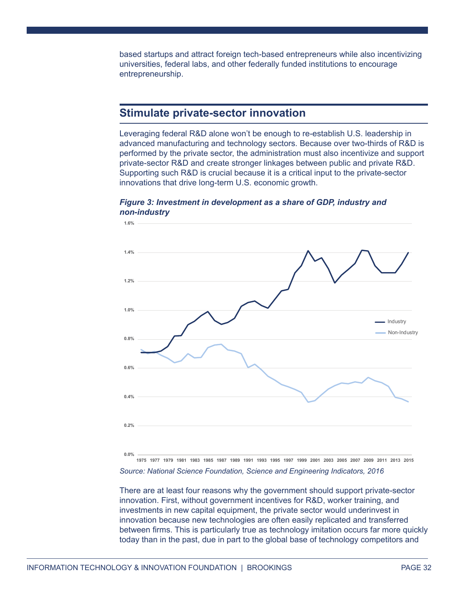based startups and attract foreign tech-based entrepreneurs while also incentivizing universities, federal labs, and other federally funded institutions to encourage entrepreneurship.

# **Stimulate private-sector innovation**

Leveraging federal R&D alone won't be enough to re-establish U.S. leadership in advanced manufacturing and technology sectors. Because over two-thirds of R&D is performed by the private sector, the administration must also incentivize and support private-sector R&D and create stronger linkages between public and private R&D. Supporting such R&D is crucial because it is a critical input to the private-sector innovations that drive long-term U.S. economic growth.

# *Figure 3: Investment in development as a share of GDP, industry and non-industry*



*Source: National Science Foundation, Science and Engineering Indicators, 2016* 1975 1977 1979 1981 1983 1985 1987 1989 1991 1993 1995 1997 1999 2001 2003 2005 2007 2009 2011 2013 2015

There are at least four reasons why the government should support private-sector innovation. First, without government incentives for R&D, worker training, and investments in new capital equipment, the private sector would underinvest in innovation because new technologies are often easily replicated and transferred between firms. This is particularly true as technology imitation occurs far more quickly today than in the past, due in part to the global base of technology competitors and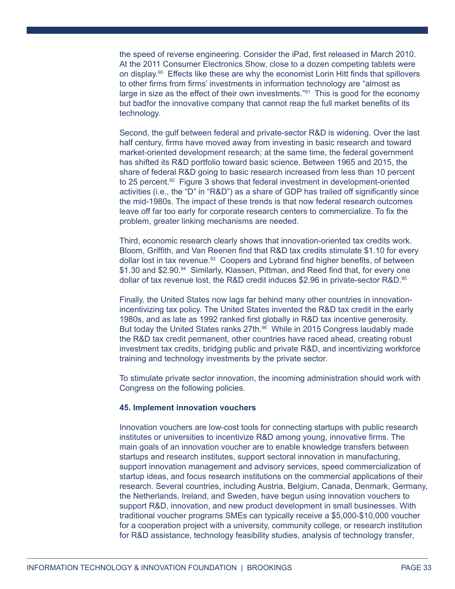the speed of reverse engineering. Consider the iPad, first released in March 2010. At the 2011 Consumer Electronics Show, close to a dozen competing tablets were on display.<sup>90</sup> Effects like these are why the economist Lorin Hitt finds that spillovers to other firms from firms' investments in information technology are "almost as large in size as the effect of their own investments."<sup>91</sup> This is good for the economy but badfor the innovative company that cannot reap the full market benefits of its technology.

Second, the gulf between federal and private-sector R&D is widening. Over the last half century, firms have moved away from investing in basic research and toward market-oriented development research; at the same time, the federal government has shifted its R&D portfolio toward basic science. Between 1965 and 2015, the share of federal R&D going to basic research increased from less than 10 percent to 25 percent.<sup>92</sup> Figure 3 shows that federal investment in development-oriented activities (i.e., the "D" in "R&D") as a share of GDP has trailed off significantly since the mid-1980s. The impact of these trends is that now federal research outcomes leave off far too early for corporate research centers to commercialize. To fix the problem, greater linking mechanisms are needed.

Third, economic research clearly shows that innovation-oriented tax credits work. Bloom, Griffith, and Van Reenen find that R&D tax credits stimulate \$1.10 for every dollar lost in tax revenue.<sup>93</sup> Coopers and Lybrand find higher benefits, of between \$1.30 and \$2.90.<sup>94</sup> Similarly, Klassen, Pittman, and Reed find that, for every one dollar of tax revenue lost, the R&D credit induces \$2.96 in private-sector R&D.<sup>95</sup>

Finally, the United States now lags far behind many other countries in innovationincentivizing tax policy. The United States invented the R&D tax credit in the early 1980s, and as late as 1992 ranked first globally in R&D tax incentive generosity. But today the United States ranks 27th.<sup>96</sup> While in 2015 Congress laudably made the R&D tax credit permanent, other countries have raced ahead, creating robust investment tax credits, bridging public and private R&D, and incentivizing workforce training and technology investments by the private sector.

To stimulate private sector innovation, the incoming administration should work with Congress on the following policies.

### **45. Implement innovation vouchers**

Innovation vouchers are low-cost tools for connecting startups with public research institutes or universities to incentivize R&D among young, innovative firms. The main goals of an innovation voucher are to enable knowledge transfers between startups and research institutes, support sectoral innovation in manufacturing, support innovation management and advisory services, speed commercialization of startup ideas, and focus research institutions on the commercial applications of their research. Several countries, including Austria, Belgium, Canada, Denmark, Germany, the Netherlands, Ireland, and Sweden, have begun using innovation vouchers to support R&D, innovation, and new product development in small businesses. With traditional voucher programs SMEs can typically receive a \$5,000-\$10,000 voucher for a cooperation project with a university, community college, or research institution for R&D assistance, technology feasibility studies, analysis of technology transfer,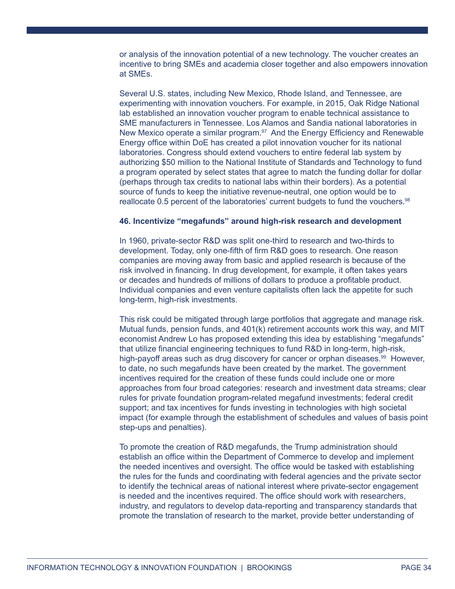or analysis of the innovation potential of a new technology. The voucher creates an incentive to bring SMEs and academia closer together and also empowers innovation at SMEs.

Several U.S. states, including New Mexico, Rhode Island, and Tennessee, are experimenting with innovation vouchers. For example, in 2015, Oak Ridge National lab established an innovation voucher program to enable technical assistance to SME manufacturers in Tennessee. Los Alamos and Sandia national laboratories in New Mexico operate a similar program.<sup>97</sup> And the Energy Efficiency and Renewable Energy office within DoE has created a pilot innovation voucher for its national laboratories. Congress should extend vouchers to entire federal lab system by authorizing \$50 million to the National Institute of Standards and Technology to fund a program operated by select states that agree to match the funding dollar for dollar (perhaps through tax credits to national labs within their borders). As a potential source of funds to keep the initiative revenue-neutral, one option would be to reallocate 0.5 percent of the laboratories' current budgets to fund the vouchers. $98$ 

#### **46. Incentivize "megafunds" around high-risk research and development**

In 1960, private-sector R&D was split one-third to research and two-thirds to development. Today, only one-fifth of firm R&D goes to research. One reason companies are moving away from basic and applied research is because of the risk involved in financing. In drug development, for example, it often takes years or decades and hundreds of millions of dollars to produce a profitable product. Individual companies and even venture capitalists often lack the appetite for such long-term, high-risk investments.

This risk could be mitigated through large portfolios that aggregate and manage risk. Mutual funds, pension funds, and 401(k) retirement accounts work this way, and MIT economist Andrew Lo has proposed extending this idea by establishing "megafunds" that utilize financial engineering techniques to fund R&D in long-term, high-risk, high-payoff areas such as drug discovery for cancer or orphan diseases.<sup>99</sup> However, to date, no such megafunds have been created by the market. The government incentives required for the creation of these funds could include one or more approaches from four broad categories: research and investment data streams; clear rules for private foundation program-related megafund investments; federal credit support; and tax incentives for funds investing in technologies with high societal impact (for example through the establishment of schedules and values of basis point step-ups and penalties).

To promote the creation of R&D megafunds, the Trump administration should establish an office within the Department of Commerce to develop and implement the needed incentives and oversight. The office would be tasked with establishing the rules for the funds and coordinating with federal agencies and the private sector to identify the technical areas of national interest where private-sector engagement is needed and the incentives required. The office should work with researchers, industry, and regulators to develop data-reporting and transparency standards that promote the translation of research to the market, provide better understanding of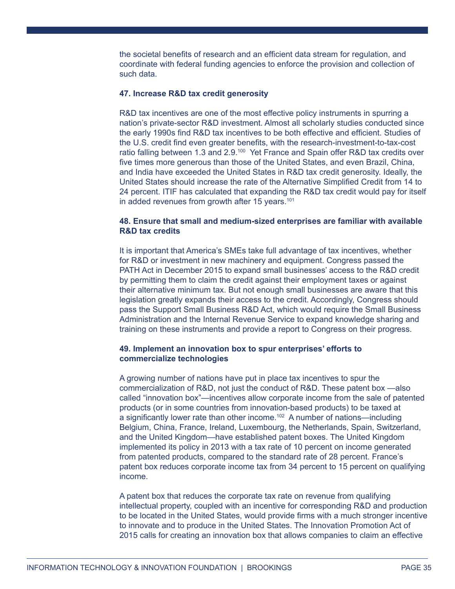the societal benefits of research and an efficient data stream for regulation, and coordinate with federal funding agencies to enforce the provision and collection of such data.

#### **47. Increase R&D tax credit generosity**

R&D tax incentives are one of the most effective policy instruments in spurring a nation's private-sector R&D investment. Almost all scholarly studies conducted since the early 1990s find R&D tax incentives to be both effective and efficient. Studies of the U.S. credit find even greater benefits, with the research-investment-to-tax-cost ratio falling between 1.3 and  $2.9^{100}$  Yet France and Spain offer R&D tax credits over five times more generous than those of the United States, and even Brazil, China, and India have exceeded the United States in R&D tax credit generosity. Ideally, the United States should increase the rate of the Alternative Simplified Credit from 14 to 24 percent. ITIF has calculated that expanding the R&D tax credit would pay for itself in added revenues from growth after 15 years.<sup>101</sup>

### **48. Ensure that small and medium-sized enterprises are familiar with available R&D tax credits**

It is important that America's SMEs take full advantage of tax incentives, whether for R&D or investment in new machinery and equipment. Congress passed the PATH Act in December 2015 to expand small businesses' access to the R&D credit by permitting them to claim the credit against their employment taxes or against their alternative minimum tax. But not enough small businesses are aware that this legislation greatly expands their access to the credit. Accordingly, Congress should pass the Support Small Business R&D Act, which would require the Small Business Administration and the Internal Revenue Service to expand knowledge sharing and training on these instruments and provide a report to Congress on their progress.

# **49. Implement an innovation box to spur enterprises' efforts to commercialize technologies**

A growing number of nations have put in place tax incentives to spur the commercialization of R&D, not just the conduct of R&D. These patent box —also called "innovation box"—incentives allow corporate income from the sale of patented products (or in some countries from innovation-based products) to be taxed at a significantly lower rate than other income.<sup>102</sup> A number of nations—including Belgium, China, France, Ireland, Luxembourg, the Netherlands, Spain, Switzerland, and the United Kingdom—have established patent boxes. The United Kingdom implemented its policy in 2013 with a tax rate of 10 percent on income generated from patented products, compared to the standard rate of 28 percent. France's patent box reduces corporate income tax from 34 percent to 15 percent on qualifying income.

A patent box that reduces the corporate tax rate on revenue from qualifying intellectual property, coupled with an incentive for corresponding R&D and production to be located in the United States, would provide firms with a much stronger incentive to innovate and to produce in the United States. The Innovation Promotion Act of 2015 calls for creating an innovation box that allows companies to claim an effective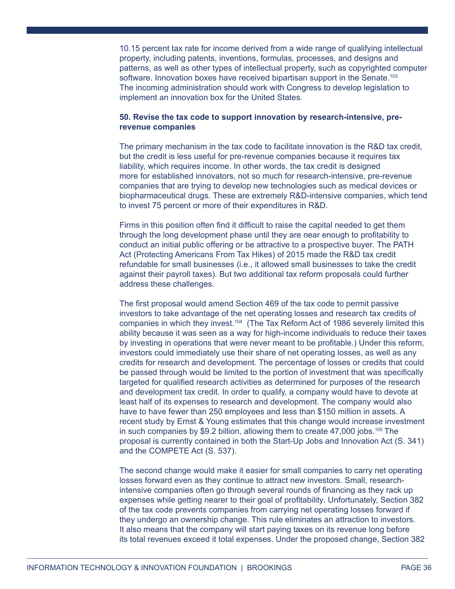10.15 percent tax rate for income derived from a wide range of qualifying intellectual property, including patents, inventions, formulas, processes, and designs and patterns, as well as other types of intellectual property, such as copyrighted computer software. Innovation boxes have received bipartisan support in the Senate.<sup>103</sup> The incoming administration should work with Congress to develop legislation to implement an innovation box for the United States.

# **50. Revise the tax code to support innovation by research-intensive, prerevenue companies**

The primary mechanism in the tax code to facilitate innovation is the R&D tax credit, but the credit is less useful for pre-revenue companies because it requires tax liability, which requires income. In other words, the tax credit is designed more for established innovators, not so much for research-intensive, pre-revenue companies that are trying to develop new technologies such as medical devices or biopharmaceutical drugs. These are extremely R&D-intensive companies, which tend to invest 75 percent or more of their expenditures in R&D.

Firms in this position often find it difficult to raise the capital needed to get them through the long development phase until they are near enough to profitability to conduct an initial public offering or be attractive to a prospective buyer. The PATH Act (Protecting Americans From Tax Hikes) of 2015 made the R&D tax credit refundable for small businesses (i.e., it allowed small businesses to take the credit against their payroll taxes). But two additional tax reform proposals could further address these challenges.

The first proposal would amend Section 469 of the tax code to permit passive investors to take advantage of the net operating losses and research tax credits of companies in which they invest.<sup>104</sup> (The Tax Reform Act of 1986 severely limited this ability because it was seen as a way for high-income individuals to reduce their taxes by investing in operations that were never meant to be profitable.) Under this reform, investors could immediately use their share of net operating losses, as well as any credits for research and development. The percentage of losses or credits that could be passed through would be limited to the portion of investment that was specifically targeted for qualified research activities as determined for purposes of the research and development tax credit. In order to qualify, a company would have to devote at least half of its expenses to research and development. The company would also have to have fewer than 250 employees and less than \$150 million in assets. A recent study by Ernst & Young estimates that this change would increase investment in such companies by \$9.2 billion, allowing them to create  $47,000$  jobs.<sup>105</sup> The proposal is currently contained in both the Start-Up Jobs and Innovation Act (S. 341) and the COMPETE Act (S. 537).

The second change would make it easier for small companies to carry net operating losses forward even as they continue to attract new investors. Small, researchintensive companies often go through several rounds of financing as they rack up expenses while getting nearer to their goal of profitability. Unfortunately, Section 382 of the tax code prevents companies from carrying net operating losses forward if they undergo an ownership change. This rule eliminates an attraction to investors. It also means that the company will start paying taxes on its revenue long before its total revenues exceed it total expenses. Under the proposed change, Section 382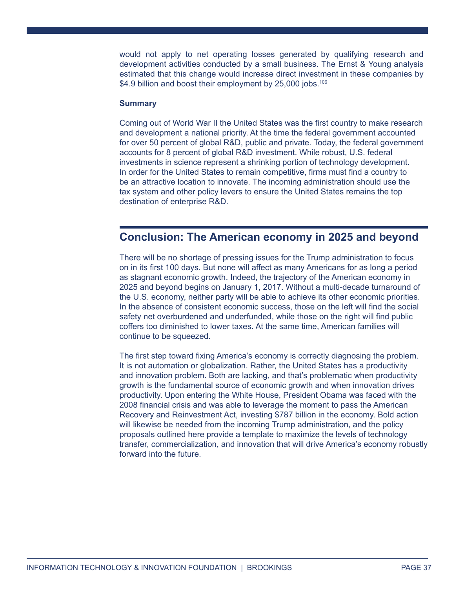would not apply to net operating losses generated by qualifying research and development activities conducted by a small business. The Ernst & Young analysis estimated that this change would increase direct investment in these companies by \$4.9 billion and boost their employment by 25,000 jobs.<sup>106</sup>

# **Summary**

Coming out of World War II the United States was the first country to make research and development a national priority. At the time the federal government accounted for over 50 percent of global R&D, public and private. Today, the federal government accounts for 8 percent of global R&D investment. While robust, U.S. federal investments in science represent a shrinking portion of technology development. In order for the United States to remain competitive, firms must find a country to be an attractive location to innovate. The incoming administration should use the tax system and other policy levers to ensure the United States remains the top destination of enterprise R&D.

# **Conclusion: The American economy in 2025 and beyond**

There will be no shortage of pressing issues for the Trump administration to focus on in its first 100 days. But none will affect as many Americans for as long a period as stagnant economic growth. Indeed, the trajectory of the American economy in 2025 and beyond begins on January 1, 2017. Without a multi-decade turnaround of the U.S. economy, neither party will be able to achieve its other economic priorities. In the absence of consistent economic success, those on the left will find the social safety net overburdened and underfunded, while those on the right will find public coffers too diminished to lower taxes. At the same time, American families will continue to be squeezed.

The first step toward fixing America's economy is correctly diagnosing the problem. It is not automation or globalization. Rather, the United States has a productivity and innovation problem. Both are lacking, and that's problematic when productivity growth is the fundamental source of economic growth and when innovation drives productivity. Upon entering the White House, President Obama was faced with the 2008 financial crisis and was able to leverage the moment to pass the American Recovery and Reinvestment Act, investing \$787 billion in the economy. Bold action will likewise be needed from the incoming Trump administration, and the policy proposals outlined here provide a template to maximize the levels of technology transfer, commercialization, and innovation that will drive America's economy robustly forward into the future.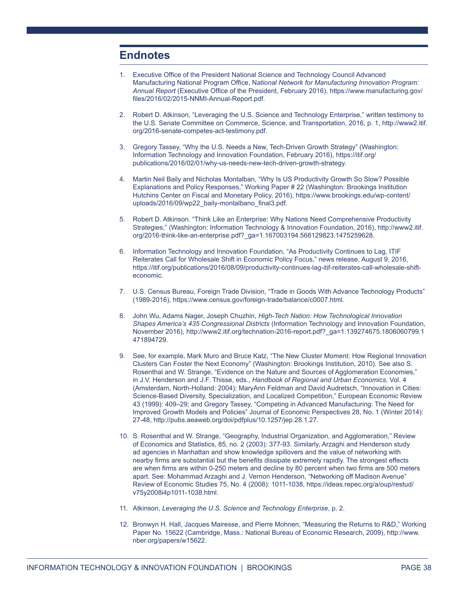# **Endnotes**

- 1. Executive Office of the President National Science and Technology Council Advanced Manufacturing National Program Office, N*ational Network for Manufacturing Innovation Program: Annual Report* (Executive Office of the President, February 2016), https://www.manufacturing.gov/ files/2016/02/2015-NNMI-Annual-Report.pdf.
- 2. Robert D. Atkinson, "Leveraging the U.S. Science and Technology Enterprise," written testimony to the U.S. Senate Committee on Commerce, Science, and Transportation, 2016, p. 1, http://www2.itif. org/2016-senate-competes-act-testimony.pdf.
- 3. Gregory Tassey, "Why the U.S. Needs a New, Tech-Driven Growth Strategy" (Washington: Information Technology and Innovation Foundation, February 2016), https://itif.org/ publications/2016/02/01/why-us-needs-new-tech-driven-growth-strategy.
- 4. Martin Neil Baily and Nicholas Montalban, "Why Is US Productivity Growth So Slow? Possible Explanations and Policy Responses," Working Paper # 22 (Washington: Brookings Institution Hutchins Center on Fiscal and Monetary Policy, 2016), https://www.brookings.edu/wp-content/ uploads/2016/09/wp22\_baily-montalbano\_final3.pdf.
- 5. Robert D. Atkinson. "Think Like an Enterprise: Why Nations Need Comprehensive Productivity Strategies," (Washington: Information Technology & Innovation Foundation, 2016), http://www2.itif. org/2016-think-like-an-enterprise.pdf?\_ga=1.167003194.568129823.1475259628.
- 6. Information Technology and Innovation Foundation, "As Productivity Continues to Lag, ITIF Reiterates Call for Wholesale Shift in Economic Policy Focus," news release, August 9, 2016, https://itif.org/publications/2016/08/09/productivity-continues-lag-itif-reiterates-call-wholesale-shifteconomic.
- 7. U.S. Census Bureau, Foreign Trade Division, "Trade in Goods With Advance Technology Products" (1989-2016), https://www.census.gov/foreign-trade/balance/c0007.html.
- 8. John Wu, Adams Nager, Joseph Chuzhin, *High-Tech Nation: How Technological Innovation Shapes America's 435 Congressional Districts* (Information Technology and Innovation Foundation, November 2016), http://www2.itif.org/technation-2016-report.pdf?\_ga=1.139274675.1806060799.1 471894729.
- 9. See, for example, Mark Muro and Bruce Katz, "The New Cluster Moment: How Regional Innovation Clusters Can Foster the Next Economy" (Washington: Brookings Institution, 2010). See also S. Rosenthal and W. Strange, "Evidence on the Nature and Sources of Agglomeration Economies," in J.V. Henderson and J.F. Thisse, eds., *Handbook of Regional and Urban Economics*, Vol. 4 (Amsterdam, North-Holland: 2004); MaryAnn Feldman and David Audretsch, "Innovation in Cities: Science-Based Diversity, Specialization, and Localized Competition," European Economic Review 43 (1999): 409–29; and Gregory Tassey, "Competing in Advanced Manufacturing: The Need for Improved Growth Models and Policies" Journal of Economic Perspectives 28, No. 1 (Winter 2014): 27-48, http://pubs.aeaweb.org/doi/pdfplus/10.1257/jep.28.1.27.
- 10. S. Rosenthal and W. Strange, "Geography, Industrial Organization, and Agglomeration," Review of Economics and Statistics, 85, no. 2 (2003): 377-93. Similarly, Arzaghi and Henderson study ad agencies in Manhattan and show knowledge spillovers and the value of networking with nearby firms are substantial but the benefits dissipate extremely rapidly. The strongest effects are when firms are within 0-250 meters and decline by 80 percent when two firms are 500 meters apart. See: Mohammad Arzaghi and J. Vernon Henderson, "Networking off Madison Avenue" Review of Economic Studies 75, No. 4 (2008): 1011-1038, https://ideas.repec.org/a/oup/restud/ v75y2008i4p1011-1038.html.
- 11. Atkinson, *Leveraging the U.S. Science and Technology Enterprise*, p. 2.
- 12. Bronwyn H. Hall, Jacques Mairesse, and Pierre Mohnen, "Measuring the Returns to R&D," Working Paper No. 15622 (Cambridge, Mass.: National Bureau of Economic Research, 2009), http://www. nber.org/papers/w15622.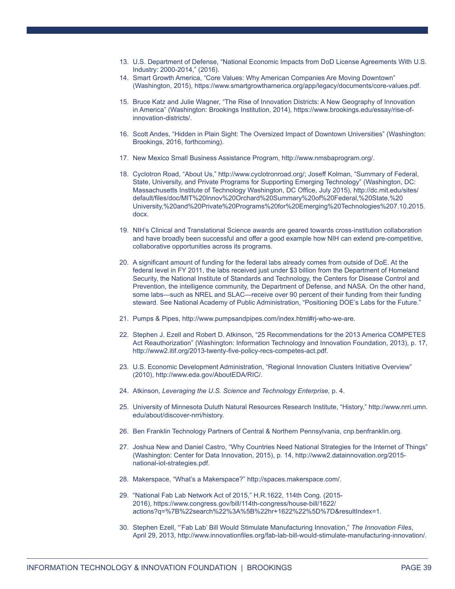- 13. U.S. Department of Defense, "National Economic Impacts from DoD License Agreements With U.S. Industry: 2000-2014," (2016).
- 14. Smart Growth America, "Core Values: Why American Companies Are Moving Downtown" (Washington, 2015), https://www.smartgrowthamerica.org/app/legacy/documents/core-values.pdf.
- 15. Bruce Katz and Julie Wagner, "The Rise of Innovation Districts: A New Geography of Innovation in America" (Washington: Brookings Institution, 2014), https://www.brookings.edu/essay/rise-ofinnovation-districts/.
- 16. Scott Andes, "Hidden in Plain Sight: The Oversized Impact of Downtown Universities" (Washington: Brookings, 2016, forthcoming).
- 17. New Mexico Small Business Assistance Program, http://www.nmsbaprogram.org/.
- 18. Cyclotron Road, "About Us," http://www.cyclotronroad.org/; Joseff Kolman, "Summary of Federal, State, University, and Private Programs for Supporting Emerging Technology" (Washington, DC: Massachusetts Institute of Technology Washington, DC Office, July 2015), http://dc.mit.edu/sites/ default/files/doc/MIT%20Innov%20Orchard%20Summary%20of%20Federal,%20State,%20 University,%20and%20Private%20Programs%20for%20Emerging%20Technologies%207.10.2015. docx.
- 19. NIH's Clinical and Translational Science awards are geared towards cross-institution collaboration and have broadly been successful and offer a good example how NIH can extend pre-competitive, collaborative opportunities across its programs.
- 20. A significant amount of funding for the federal labs already comes from outside of DoE. At the federal level in FY 2011, the labs received just under \$3 billion from the Department of Homeland Security, the National Institute of Standards and Technology, the Centers for Disease Control and Prevention, the intelligence community, the Department of Defense, and NASA. On the other hand, some labs—such as NREL and SLAC—receive over 90 percent of their funding from their funding steward. See National Academy of Public Administration, "Positioning DOE's Labs for the Future."
- 21. Pumps & Pipes, http://www.pumpsandpipes.com/index.html#rj-who-we-are.
- 22. Stephen J. Ezell and Robert D. Atkinson, "25 Recommendations for the 2013 America COMPETES Act Reauthorization" (Washington: Information Technology and Innovation Foundation, 2013), p. 17, http://www2.itif.org/2013-twenty-five-policy-recs-competes-act.pdf.
- 23. U.S. Economic Development Administration, "Regional Innovation Clusters Initiative Overview" (2010), http://www.eda.gov/AboutEDA/RIC/.
- 24. Atkinson, *Leveraging the U.S. Science and Technology Enterprise,* p. 4.
- 25. University of Minnesota Duluth Natural Resources Research Institute, "History," http://www.nrri.umn. edu/about/discover-nrri/history.
- 26. Ben Franklin Technology Partners of Central & Northern Pennsylvania, cnp.benfranklin.org.
- 27. Joshua New and Daniel Castro, "Why Countries Need National Strategies for the Internet of Things" (Washington: Center for Data Innovation, 2015), p. 14, http://www2.datainnovation.org/2015 national-iot-strategies.pdf.
- 28. Makerspace, "What's a Makerspace?" http://spaces.makerspace.com/.
- 29. "National Fab Lab Network Act of 2015," H.R.1622, 114th Cong. (2015- 2016), https://www.congress.gov/bill/114th-congress/house-bill/1622/ actions?q=%7B%22search%22%3A%5B%22hr+1622%22%5D%7D&resultIndex=1.
- 30. Stephen Ezell, "'Fab Lab' Bill Would Stimulate Manufacturing Innovation," *The Innovation Files*, April 29, 2013, http://www.innovationfiles.org/fab-lab-bill-would-stimulate-manufacturing-innovation/.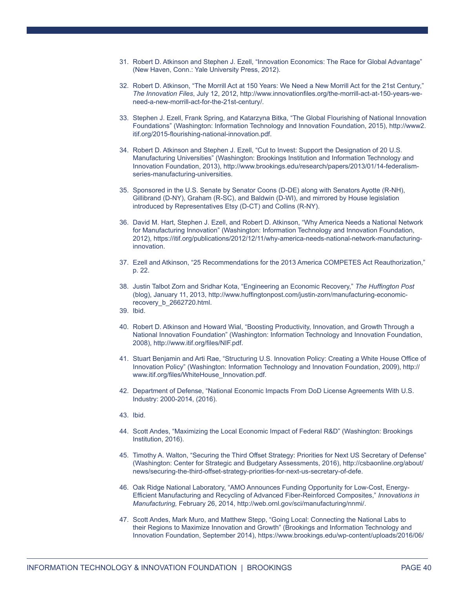- 31. Robert D. Atkinson and Stephen J. Ezell, "Innovation Economics: The Race for Global Advantage" (New Haven, Conn.: Yale University Press, 2012).
- 32. Robert D. Atkinson, "The Morrill Act at 150 Years: We Need a New Morrill Act for the 21st Century," *The Innovation Files*, July 12, 2012, http://www.innovationfiles.org/the-morrill-act-at-150-years-weneed-a-new-morrill-act-for-the-21st-century/.
- 33. Stephen J. Ezell, Frank Spring, and Katarzyna Bitka, "The Global Flourishing of National Innovation Foundations" (Washington: Information Technology and Innovation Foundation, 2015), http://www2. itif.org/2015-flourishing-national-innovation.pdf.
- 34. Robert D. Atkinson and Stephen J. Ezell, "Cut to Invest: Support the Designation of 20 U.S. Manufacturing Universities" (Washington: Brookings Institution and Information Technology and Innovation Foundation, 2013), http://www.brookings.edu/research/papers/2013/01/14-federalismseries-manufacturing-universities.
- 35. Sponsored in the U.S. Senate by Senator Coons (D-DE) along with Senators Ayotte (R-NH), Gillibrand (D-NY), Graham (R-SC), and Baldwin (D-WI), and mirrored by House legislation introduced by Representatives Etsy (D-CT) and Collins (R-NY).
- 36. David M. Hart, Stephen J. Ezell, and Robert D. Atkinson, "Why America Needs a National Network for Manufacturing Innovation" (Washington: Information Technology and Innovation Foundation, 2012), https://itif.org/publications/2012/12/11/why-america-needs-national-network-manufacturinginnovation.
- 37. Ezell and Atkinson, "25 Recommendations for the 2013 America COMPETES Act Reauthorization," p. 22.
- 38. Justin Talbot Zorn and Sridhar Kota, "Engineering an Economic Recovery," *The Huffington Post*  (blog), January 11, 2013, http://www.huffingtonpost.com/justin-zorn/manufacturing-economicrecovery\_b\_2662720.html.
- 39. Ibid.
- 40. Robert D. Atkinson and Howard Wial, "Boosting Productivity, Innovation, and Growth Through a National Innovation Foundation" (Washington: Information Technology and Innovation Foundation, 2008), http://www.itif.org/files/NIF.pdf.
- 41. Stuart Benjamin and Arti Rae, "Structuring U.S. Innovation Policy: Creating a White House Office of Innovation Policy" (Washington: Information Technology and Innovation Foundation, 2009), http:// www.itif.org/files/WhiteHouse\_Innovation.pdf.
- 42. Department of Defense, "National Economic Impacts From DoD License Agreements With U.S. Industry: 2000-2014, (2016).
- 43. Ibid.
- 44. Scott Andes, "Maximizing the Local Economic Impact of Federal R&D" (Washington: Brookings Institution, 2016).
- 45. Timothy A. Walton, "Securing the Third Offset Strategy: Priorities for Next US Secretary of Defense" (Washington: Center for Strategic and Budgetary Assessments, 2016), http://csbaonline.org/about/ news/securing-the-third-offset-strategy-priorities-for-next-us-secretary-of-defe.
- 46. Oak Ridge National Laboratory, "AMO Announces Funding Opportunity for Low-Cost, Energy-Efficient Manufacturing and Recycling of Advanced Fiber-Reinforced Composites," *Innovations in Manufacturing,* February 26, 2014, http://web.ornl.gov/sci/manufacturing/nnmi/.
- 47. Scott Andes, Mark Muro, and Matthew Stepp, "Going Local: Connecting the National Labs to their Regions to Maximize Innovation and Growth" (Brookings and Information Technology and Innovation Foundation, September 2014), https://www.brookings.edu/wp-content/uploads/2016/06/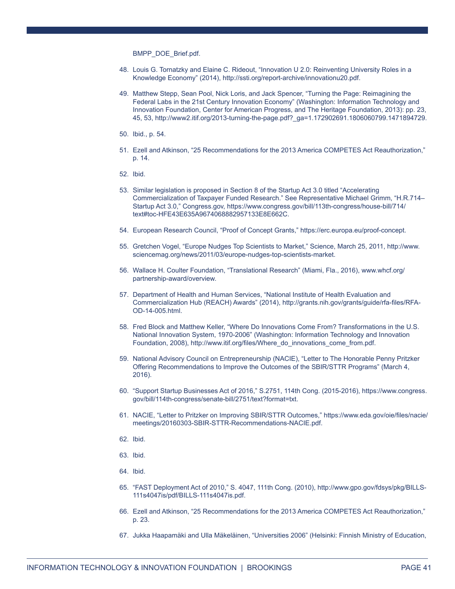BMPP\_DOE\_Brief.pdf.

- 48. Louis G. Tornatzky and Elaine C. Rideout, "Innovation U 2.0: Reinventing University Roles in a Knowledge Economy" (2014), http://ssti.org/report-archive/innovationu20.pdf.
- 49. Matthew Stepp, Sean Pool, Nick Loris, and Jack Spencer, "Turning the Page: Reimagining the Federal Labs in the 21st Century Innovation Economy" (Washington: Information Technology and Innovation Foundation, Center for American Progress, and The Heritage Foundation, 2013): pp. 23, 45, 53, http://www2.itif.org/2013-turning-the-page.pdf?\_ga=1.172902691.1806060799.1471894729.
- 50. Ibid., p. 54.
- 51. Ezell and Atkinson, "25 Recommendations for the 2013 America COMPETES Act Reauthorization," p. 14.
- 52. Ibid.
- 53. Similar legislation is proposed in Section 8 of the Startup Act 3.0 titled "Accelerating Commercialization of Taxpayer Funded Research." See Representative Michael Grimm, "H.R.714– Startup Act 3.0," Congress.gov, https://www.congress.gov/bill/113th-congress/house-bill/714/ text#toc-HFE43E635A9674068882957133E8E662C.
- 54. European Research Council, "Proof of Concept Grants," https://erc.europa.eu/proof-concept.
- 55. Gretchen Vogel, "Europe Nudges Top Scientists to Market," Science, March 25, 2011, http://www. sciencemag.org/news/2011/03/europe-nudges-top-scientists-market.
- 56. Wallace H. Coulter Foundation, "Translational Research" (Miami, Fla., 2016), www.whcf.org/ partnership-award/overview.
- 57. Department of Health and Human Services, "National Institute of Health Evaluation and Commercialization Hub (REACH) Awards" (2014), http://grants.nih.gov/grants/guide/rfa-files/RFA-OD-14-005.html.
- 58. Fred Block and Matthew Keller, "Where Do Innovations Come From? Transformations in the U.S. National Innovation System, 1970-2006" (Washington: Information Technology and Innovation Foundation, 2008), http://www.itif.org/files/Where\_do\_innovations\_come\_from.pdf.
- 59. National Advisory Council on Entrepreneurship (NACIE), "Letter to The Honorable Penny Pritzker Offering Recommendations to Improve the Outcomes of the SBIR/STTR Programs" (March 4, 2016).
- 60. "Support Startup Businesses Act of 2016," S.2751, 114th Cong. (2015-2016), https://www.congress. gov/bill/114th-congress/senate-bill/2751/text?format=txt.
- 61. NACIE, "Letter to Pritzker on Improving SBIR/STTR Outcomes," https://www.eda.gov/oie/files/nacie/ meetings/20160303-SBIR-STTR-Recommendations-NACIE.pdf.
- 62. Ibid.
- 63. Ibid.
- 64. Ibid.
- 65. "FAST Deployment Act of 2010," S. 4047, 111th Cong. (2010), http://www.gpo.gov/fdsys/pkg/BILLS-111s4047is/pdf/BILLS-111s4047is.pdf.
- 66. Ezell and Atkinson, "25 Recommendations for the 2013 America COMPETES Act Reauthorization," p. 23.
- 67. Jukka Haapamäki and Ulla Mäkeläinen, "Universities 2006" (Helsinki: Finnish Ministry of Education,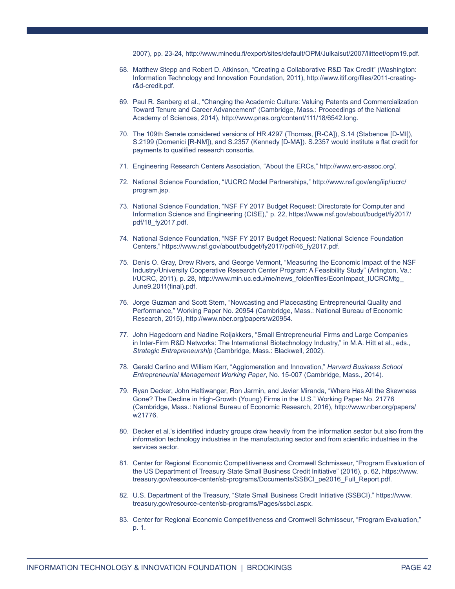2007), pp. 23-24, http://www.minedu.fi/export/sites/default/OPM/Julkaisut/2007/liitteet/opm19.pdf.

- 68. Matthew Stepp and Robert D. Atkinson, "Creating a Collaborative R&D Tax Credit" (Washington: Information Technology and Innovation Foundation, 2011), http://www.itif.org/files/2011-creatingr&d-credit.pdf.
- 69. Paul R. Sanberg et al., "Changing the Academic Culture: Valuing Patents and Commercialization Toward Tenure and Career Advancement" (Cambridge, Mass.: Proceedings of the National Academy of Sciences, 2014), http://www.pnas.org/content/111/18/6542.long.
- 70. The 109th Senate considered versions of HR.4297 (Thomas, [R-CA]), S.14 (Stabenow [D-MI]), S.2199 (Domenici [R-NM]), and S.2357 (Kennedy [D-MA]). S.2357 would institute a flat credit for payments to qualified research consortia.
- 71. Engineering Research Centers Association, "About the ERCs," http://www.erc-assoc.org/.
- 72. National Science Foundation, "I/UCRC Model Partnerships," http://www.nsf.gov/eng/iip/iucrc/ program.jsp.
- 73. National Science Foundation, "NSF FY 2017 Budget Request: Directorate for Computer and Information Science and Engineering (CISE)," p. 22, https://www.nsf.gov/about/budget/fy2017/ pdf/18\_fy2017.pdf.
- 74. National Science Foundation, "NSF FY 2017 Budget Request: National Science Foundation Centers," https://www.nsf.gov/about/budget/fy2017/pdf/46\_fy2017.pdf.
- 75. Denis O. Gray, Drew Rivers, and George Vermont, "Measuring the Economic Impact of the NSF Industry/University Cooperative Research Center Program: A Feasibility Study" (Arlington, Va.: I/UCRC, 2011), p. 28, http://www.min.uc.edu/me/news\_folder/files/EconImpact\_IUCRCMtg\_ June9.2011(final).pdf.
- 76. Jorge Guzman and Scott Stern, "Nowcasting and Placecasting Entrepreneurial Quality and Performance," Working Paper No. 20954 (Cambridge, Mass.: National Bureau of Economic Research, 2015), http://www.nber.org/papers/w20954.
- 77. John Hagedoorn and Nadine Roijakkers, "Small Entrepreneurial Firms and Large Companies in Inter-Firm R&D Networks: The International Biotechnology Industry," in M.A. Hitt et al., eds., *Strategic Entrepreneurship* (Cambridge, Mass.: Blackwell, 2002).
- 78. Gerald Carlino and William Kerr, "Agglomeration and Innovation," *Harvard Business School Entrepreneurial Management Working Paper*, No. 15-007 (Cambridge, Mass., 2014).
- 79. Ryan Decker, John Haltiwanger, Ron Jarmin, and Javier Miranda, "Where Has All the Skewness Gone? The Decline in High-Growth (Young) Firms in the U.S." Working Paper No. 21776 (Cambridge, Mass.: National Bureau of Economic Research, 2016), http://www.nber.org/papers/ w21776.
- 80. Decker et al.'s identified industry groups draw heavily from the information sector but also from the information technology industries in the manufacturing sector and from scientific industries in the services sector.
- 81. Center for Regional Economic Competitiveness and Cromwell Schmisseur, "Program Evaluation of the US Department of Treasury State Small Business Credit Initiative" (2016), p. 62, https://www. treasury.gov/resource-center/sb-programs/Documents/SSBCI\_pe2016\_Full\_Report.pdf.
- 82. U.S. Department of the Treasury, "State Small Business Credit Initiative (SSBCI)," https://www. treasury.gov/resource-center/sb-programs/Pages/ssbci.aspx.
- 83. Center for Regional Economic Competitiveness and Cromwell Schmisseur, "Program Evaluation," p. 1.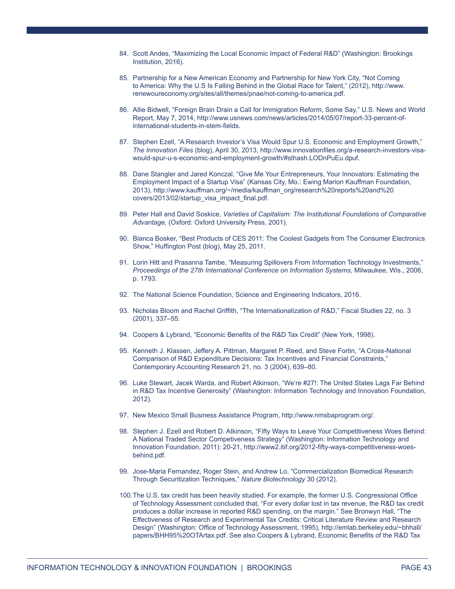- 84. Scott Andes, "Maximizing the Local Economic Impact of Federal R&D" (Washington: Brookings Institution, 2016).
- 85. Partnership for a New American Economy and Partnership for New York City, "Not Coming to America: Why the U.S Is Falling Behind in the Global Race for Talent," (2012), http://www. renewoureconomy.org/sites/all/themes/pnae/not-coming-to-america.pdf.
- 86. Allie Bidwell, "Foreign Brain Drain a Call for Immigration Reform, Some Say," U.S. News and World Report, May 7, 2014, http://www.usnews.com/news/articles/2014/05/07/report-33-percent-ofinternational-students-in-stem-fields.
- 87. Stephen Ezell, "A Research Investor's Visa Would Spur U.S. Economic and Employment Growth," *The Innovation Files* (blog), April 30, 2013, http://www.innovationfiles.org/a-research-investors-visawould-spur-u-s-economic-and-employment-growth/#sthash.LODnPuEu.dpuf.
- 88. Dane Stangler and Jared Konczal, "Give Me Your Entrepreneurs, Your Innovators: Estimating the Employment Impact of a Startup Visa" (Kansas City, Mo.: Ewing Marion Kauffman Foundation, 2013), http://www.kauffman.org/~/media/kauffman\_org/research%20reports%20and%20 covers/2013/02/startup\_visa\_impact\_final.pdf.
- 89. Peter Hall and David Soskice, *Varieties of Capitalism: The Institutional Foundations of Comparative Advantage,* (Oxford: Oxford University Press, 2001).
- 90. Bianca Bosker, "Best Products of CES 2011: The Coolest Gadgets from The Consumer Electronics Show," Huffington Post (blog), May 25, 2011.
- 91. Lorin Hitt and Prasanna Tambe, "Measuring Spillovers From Information Technology Investments," *Proceedings of the 27th International Conference on Information Systems*, Milwaukee, Wis., 2006, p. 1793.
- 92. The National Science Foundation, Science and Engineering Indicators, 2016.
- 93. Nicholas Bloom and Rachel Griffith, "The Internationalization of R&D," Fiscal Studies 22, no. 3 (2001), 337–55.
- 94. Coopers & Lybrand, "Economic Benefits of the R&D Tax Credit" (New York, 1998).
- 95. Kenneth J. Klassen, Jeffery A. Pittman, Margaret P. Reed, and Steve Fortin, "A Cross-National Comparison of R&D Expenditure Decisions: Tax Incentives and Financial Constraints," Contemporary Accounting Research 21, no. 3 (2004), 639–80.
- 96. Luke Stewart, Jacek Warda, and Robert Atkinson, "We're #27!: The United States Lags Far Behind in R&D Tax Incentive Generosity" (Washington: Information Technology and Innovation Foundation, 2012).
- 97. New Mexico Small Business Assistance Program, http://www.nmsbaprogram.org/.
- 98. Stephen J. Ezell and Robert D. Atkinson, "Fifty Ways to Leave Your Competitiveness Woes Behind: A National Traded Sector Competiveness Strategy" (Washington: Information Technology and Innovation Foundation, 2011): 20-21, http://www2.itif.org/2012-fifty-ways-competitiveness-woesbehind.pdf.
- 99. Jose-Maria Fernandez, Roger Stein, and Andrew Lo, "Commercialization Biomedical Research Through Securitization Techniques," *Nature Biotechnology* 30 (2012).
- 100.The U.S. tax credit has been heavily studied. For example, the former U.S. Congressional Office of Technology Assessment concluded that, "For every dollar lost in tax revenue, the R&D tax credit produces a dollar increase in reported R&D spending, on the margin." See Bronwyn Hall, "The Effectiveness of Research and Experimental Tax Credits: Critical Literature Review and Research Design" (Washington: Office of Technology Assessment, 1995), http://emlab.berkeley.edu/~bhhall/ papers/BHH95%20OTArtax.pdf. See also Coopers & Lybrand, Economic Benefits of the R&D Tax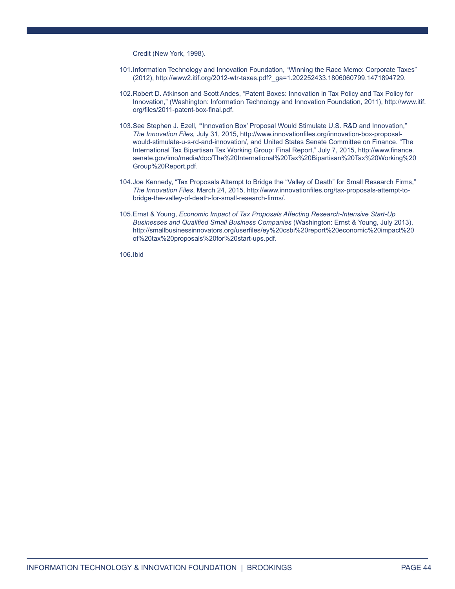Credit (New York, 1998).

- 101.Information Technology and Innovation Foundation, "Winning the Race Memo: Corporate Taxes" (2012), http://www2.itif.org/2012-wtr-taxes.pdf?\_ga=1.202252433.1806060799.1471894729.
- 102.Robert D. Atkinson and Scott Andes, "Patent Boxes: Innovation in Tax Policy and Tax Policy for Innovation," (Washington: Information Technology and Innovation Foundation, 2011), http://www.itif. org/files/2011-patent-box-final.pdf.
- 103.See Stephen J. Ezell, "'Innovation Box' Proposal Would Stimulate U.S. R&D and Innovation," *The Innovation Files,* July 31, 2015, http://www.innovationfiles.org/innovation-box-proposalwould-stimulate-u-s-rd-and-innovation/, and United States Senate Committee on Finance. "The International Tax Bipartisan Tax Working Group: Final Report," July 7, 2015, http://www.finance. senate.gov/imo/media/doc/The%20International%20Tax%20Bipartisan%20Tax%20Working%20 Group%20Report.pdf.
- 104.Joe Kennedy, "Tax Proposals Attempt to Bridge the "Valley of Death" for Small Research Firms," *The Innovation Files*, March 24, 2015, http://www.innovationfiles.org/tax-proposals-attempt-tobridge-the-valley-of-death-for-small-research-firms/.
- 105.Ernst & Young, *Economic Impact of Tax Proposals Affecting Research-Intensive Start-Up Businesses and Qualified Small Business Companies* (Washington: Ernst & Young, July 2013), http://smallbusinessinnovators.org/userfiles/ey%20csbi%20report%20economic%20impact%20 of%20tax%20proposals%20for%20start-ups.pdf.

106.Ibid